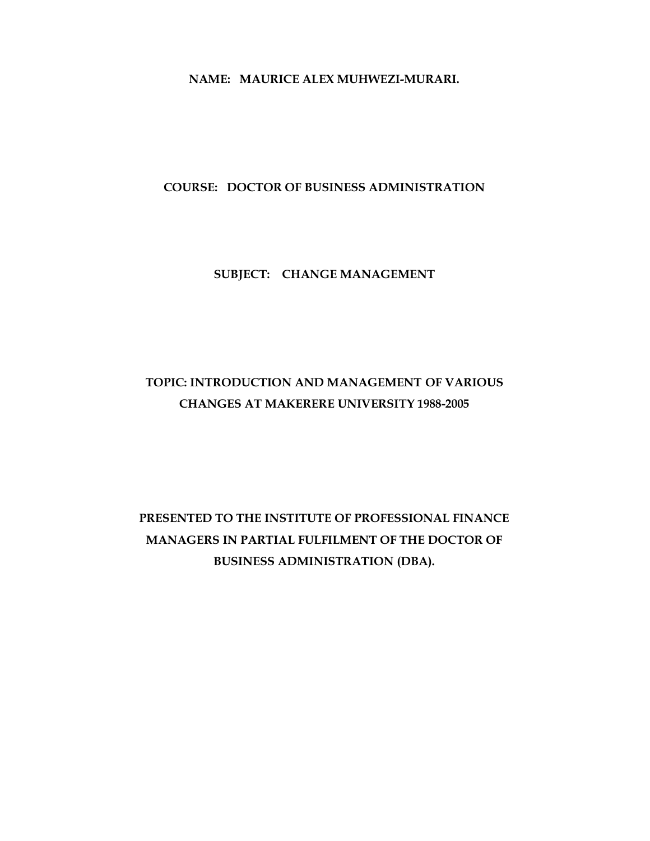# NAME: MAURICE ALEX MUHWEZI-MURARI.

# COURSE: DOCTOR OF BUSINESS ADMINISTRATION

# SUBJECT: CHANGE MANAGEMENT

# TOPIC: INTRODUCTION AND MANAGEMENT OF VARIOUS CHANGES AT MAKERERE UNIVERSITY 1988-2005

# PRESENTED TO THE INSTITUTE OF PROFESSIONAL FINANCE MANAGERS IN PARTIAL FULFILMENT OF THE DOCTOR OF BUSINESS ADMINISTRATION (DBA).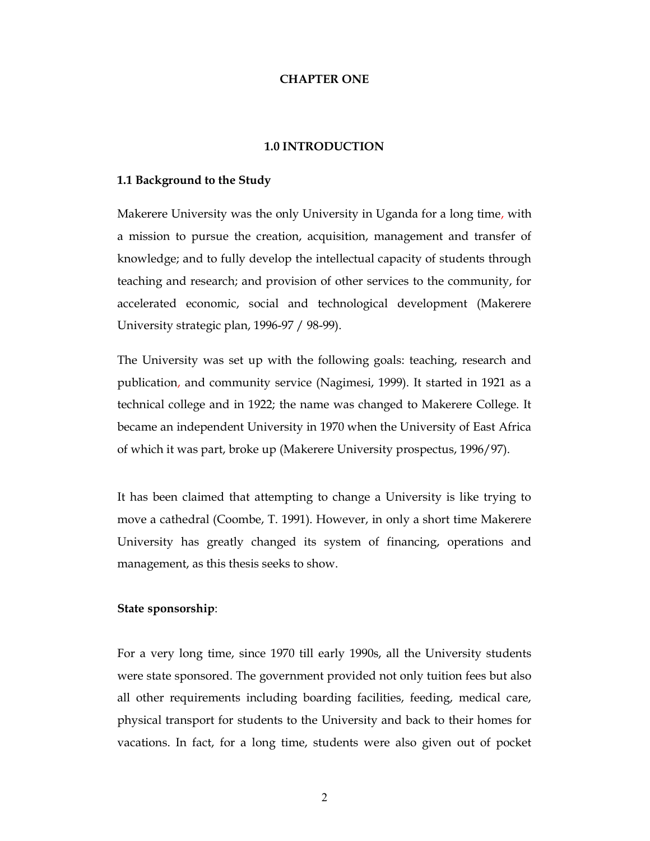# CHAPTER ONE

# 1.0 INTRODUCTION

#### 1.1 Background to the Study

Makerere University was the only University in Uganda for a long time, with a mission to pursue the creation, acquisition, management and transfer of knowledge; and to fully develop the intellectual capacity of students through teaching and research; and provision of other services to the community, for accelerated economic, social and technological development (Makerere University strategic plan, 1996-97 / 98-99).

The University was set up with the following goals: teaching, research and publication, and community service (Nagimesi, 1999). It started in 1921 as a technical college and in 1922; the name was changed to Makerere College. It became an independent University in 1970 when the University of East Africa of which it was part, broke up (Makerere University prospectus, 1996/97).

It has been claimed that attempting to change a University is like trying to move a cathedral (Coombe, T. 1991). However, in only a short time Makerere University has greatly changed its system of financing, operations and management, as this thesis seeks to show.

#### State sponsorship:

For a very long time, since 1970 till early 1990s, all the University students were state sponsored. The government provided not only tuition fees but also all other requirements including boarding facilities, feeding, medical care, physical transport for students to the University and back to their homes for vacations. In fact, for a long time, students were also given out of pocket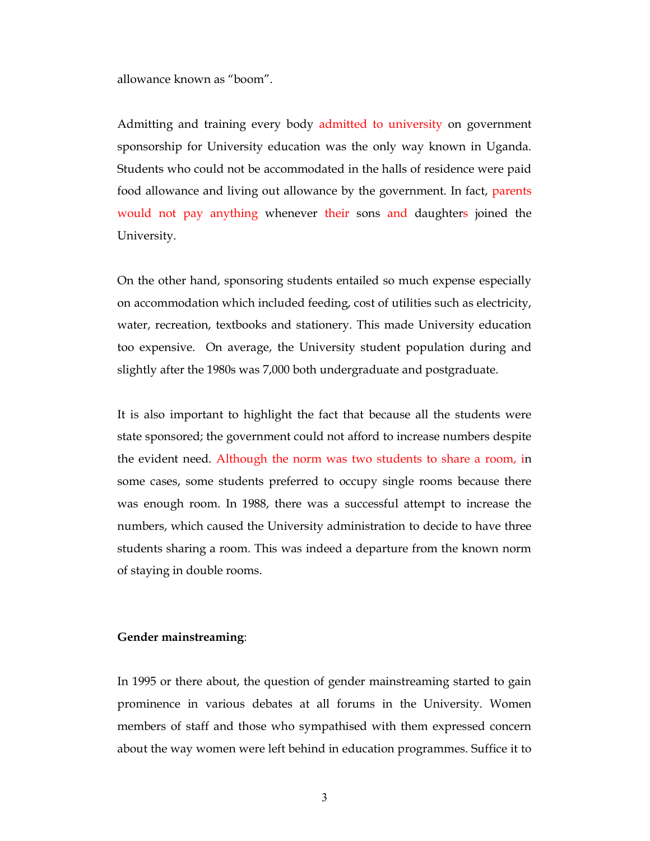allowance known as "boom".

Admitting and training every body admitted to university on government sponsorship for University education was the only way known in Uganda. Students who could not be accommodated in the halls of residence were paid food allowance and living out allowance by the government. In fact, parents would not pay anything whenever their sons and daughters joined the University.

On the other hand, sponsoring students entailed so much expense especially on accommodation which included feeding, cost of utilities such as electricity, water, recreation, textbooks and stationery. This made University education too expensive. On average, the University student population during and slightly after the 1980s was 7,000 both undergraduate and postgraduate.

It is also important to highlight the fact that because all the students were state sponsored; the government could not afford to increase numbers despite the evident need. Although the norm was two students to share a room, in some cases, some students preferred to occupy single rooms because there was enough room. In 1988, there was a successful attempt to increase the numbers, which caused the University administration to decide to have three students sharing a room. This was indeed a departure from the known norm of staying in double rooms.

# Gender mainstreaming:

In 1995 or there about, the question of gender mainstreaming started to gain prominence in various debates at all forums in the University. Women members of staff and those who sympathised with them expressed concern about the way women were left behind in education programmes. Suffice it to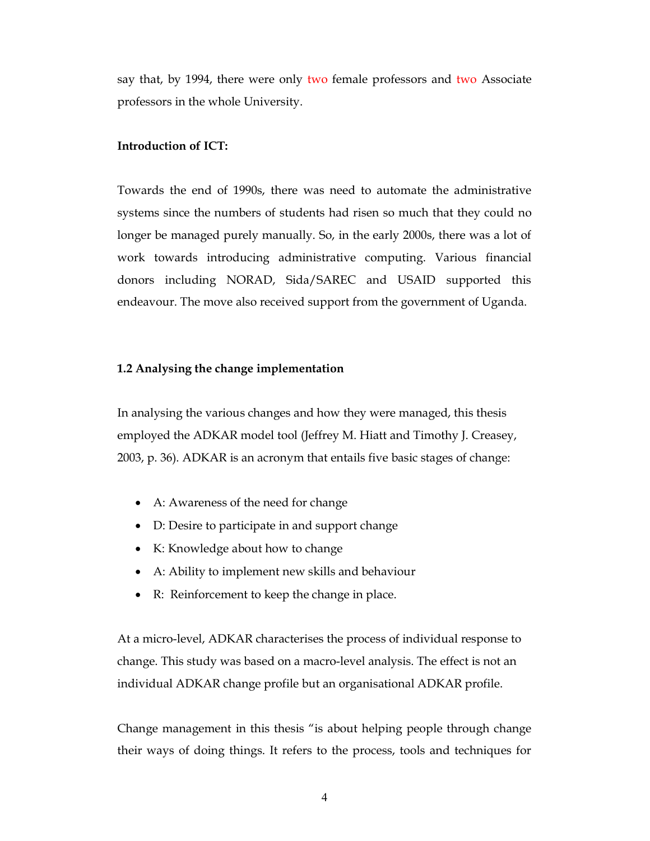say that, by 1994, there were only two female professors and two Associate professors in the whole University.

# Introduction of ICT:

Towards the end of 1990s, there was need to automate the administrative systems since the numbers of students had risen so much that they could no longer be managed purely manually. So, in the early 2000s, there was a lot of work towards introducing administrative computing. Various financial donors including NORAD, Sida/SAREC and USAID supported this endeavour. The move also received support from the government of Uganda.

#### 1.2 Analysing the change implementation

In analysing the various changes and how they were managed, this thesis employed the ADKAR model tool (Jeffrey M. Hiatt and Timothy J. Creasey, 2003, p. 36). ADKAR is an acronym that entails five basic stages of change:

- A: Awareness of the need for change
- D: Desire to participate in and support change
- K: Knowledge about how to change
- A: Ability to implement new skills and behaviour
- R: Reinforcement to keep the change in place.

At a micro-level, ADKAR characterises the process of individual response to change. This study was based on a macro-level analysis. The effect is not an individual ADKAR change profile but an organisational ADKAR profile.

Change management in this thesis "is about helping people through change their ways of doing things. It refers to the process, tools and techniques for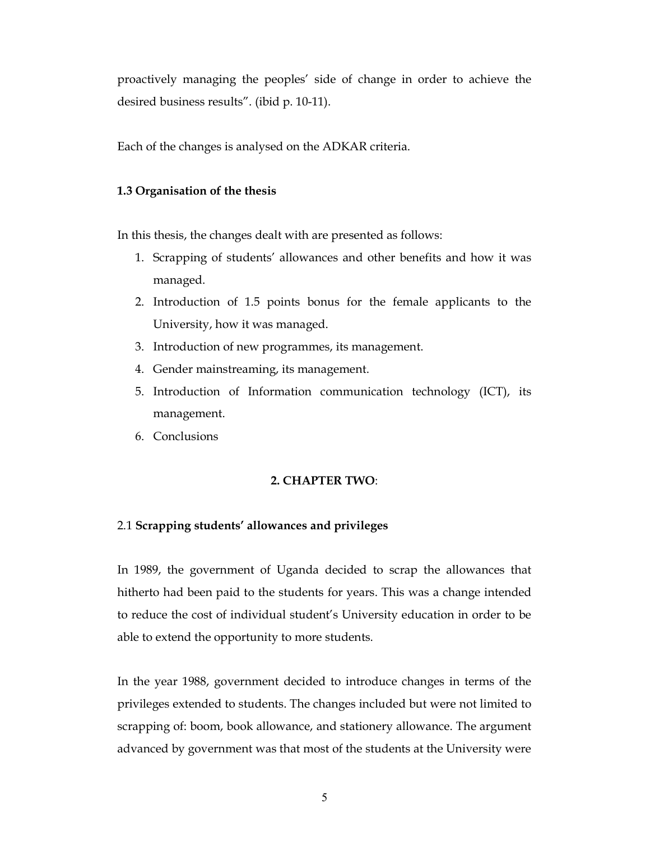proactively managing the peoples' side of change in order to achieve the desired business results". (ibid p. 10-11).

Each of the changes is analysed on the ADKAR criteria.

#### 1.3 Organisation of the thesis

In this thesis, the changes dealt with are presented as follows:

- 1. Scrapping of students' allowances and other benefits and how it was managed.
- 2. Introduction of 1.5 points bonus for the female applicants to the University, how it was managed.
- 3. Introduction of new programmes, its management.
- 4. Gender mainstreaming, its management.
- 5. Introduction of Information communication technology (ICT), its management.
- 6. Conclusions

# 2. CHAPTER TWO:

## 2.1 Scrapping students' allowances and privileges

In 1989, the government of Uganda decided to scrap the allowances that hitherto had been paid to the students for years. This was a change intended to reduce the cost of individual student's University education in order to be able to extend the opportunity to more students.

In the year 1988, government decided to introduce changes in terms of the privileges extended to students. The changes included but were not limited to scrapping of: boom, book allowance, and stationery allowance. The argument advanced by government was that most of the students at the University were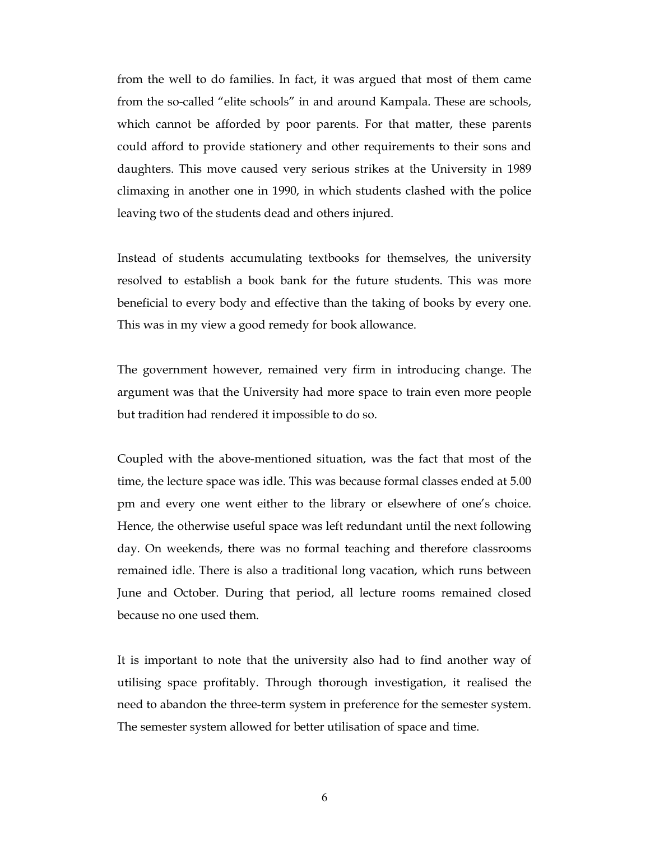from the well to do families. In fact, it was argued that most of them came from the so-called "elite schools" in and around Kampala. These are schools, which cannot be afforded by poor parents. For that matter, these parents could afford to provide stationery and other requirements to their sons and daughters. This move caused very serious strikes at the University in 1989 climaxing in another one in 1990, in which students clashed with the police leaving two of the students dead and others injured.

Instead of students accumulating textbooks for themselves, the university resolved to establish a book bank for the future students. This was more beneficial to every body and effective than the taking of books by every one. This was in my view a good remedy for book allowance.

The government however, remained very firm in introducing change. The argument was that the University had more space to train even more people but tradition had rendered it impossible to do so.

Coupled with the above-mentioned situation, was the fact that most of the time, the lecture space was idle. This was because formal classes ended at 5.00 pm and every one went either to the library or elsewhere of one's choice. Hence, the otherwise useful space was left redundant until the next following day. On weekends, there was no formal teaching and therefore classrooms remained idle. There is also a traditional long vacation, which runs between June and October. During that period, all lecture rooms remained closed because no one used them.

It is important to note that the university also had to find another way of utilising space profitably. Through thorough investigation, it realised the need to abandon the three-term system in preference for the semester system. The semester system allowed for better utilisation of space and time.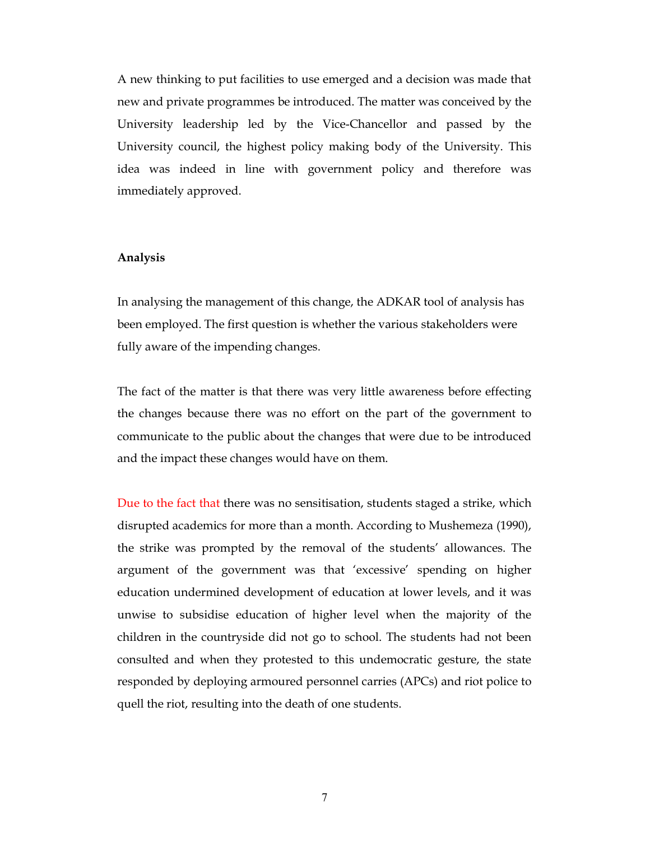A new thinking to put facilities to use emerged and a decision was made that new and private programmes be introduced. The matter was conceived by the University leadership led by the Vice-Chancellor and passed by the University council, the highest policy making body of the University. This idea was indeed in line with government policy and therefore was immediately approved.

## Analysis

In analysing the management of this change, the ADKAR tool of analysis has been employed. The first question is whether the various stakeholders were fully aware of the impending changes.

The fact of the matter is that there was very little awareness before effecting the changes because there was no effort on the part of the government to communicate to the public about the changes that were due to be introduced and the impact these changes would have on them.

Due to the fact that there was no sensitisation, students staged a strike, which disrupted academics for more than a month. According to Mushemeza (1990), the strike was prompted by the removal of the students' allowances. The argument of the government was that 'excessive' spending on higher education undermined development of education at lower levels, and it was unwise to subsidise education of higher level when the majority of the children in the countryside did not go to school. The students had not been consulted and when they protested to this undemocratic gesture, the state responded by deploying armoured personnel carries (APCs) and riot police to quell the riot, resulting into the death of one students.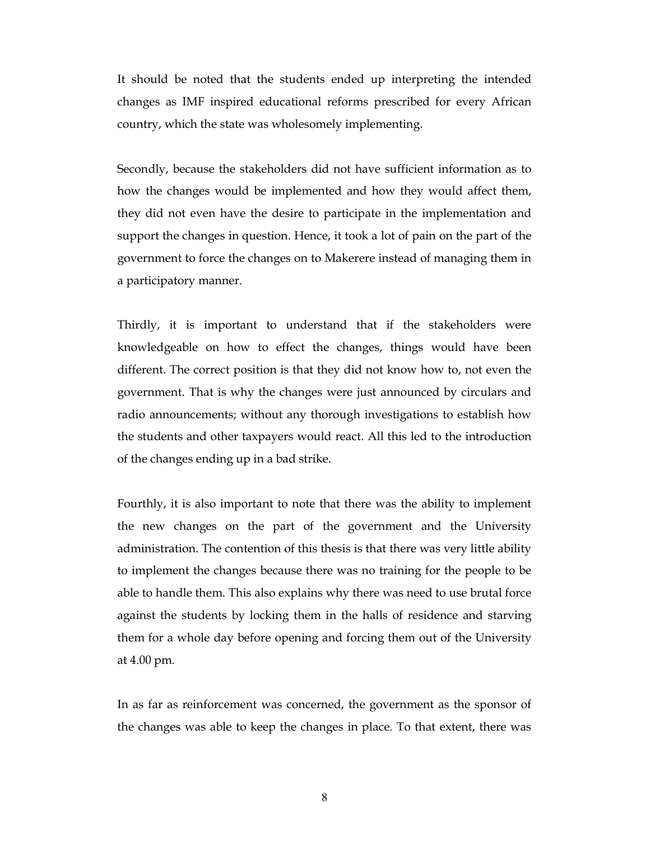It should be noted that the students ended up interpreting the intended changes as IMF inspired educational reforms prescribed for every African country, which the state was wholesomely implementing.

Secondly, because the stakeholders did not have sufficient information as to how the changes would be implemented and how they would affect them, they did not even have the desire to participate in the implementation and support the changes in question. Hence, it took a lot of pain on the part of the government to force the changes on to Makerere instead of managing them in a participatory manner.

Thirdly, it is important to understand that if the stakeholders were knowledgeable on how to effect the changes, things would have been different. The correct position is that they did not know how to, not even the government. That is why the changes were just announced by circulars and radio announcements; without any thorough investigations to establish how the students and other taxpayers would react. All this led to the introduction of the changes ending up in a bad strike.

Fourthly, it is also important to note that there was the ability to implement the new changes on the part of the government and the University administration. The contention of this thesis is that there was very little ability to implement the changes because there was no training for the people to be able to handle them. This also explains why there was need to use brutal force against the students by locking them in the halls of residence and starving them for a whole day before opening and forcing them out of the University at 4.00 pm.

In as far as reinforcement was concerned, the government as the sponsor of the changes was able to keep the changes in place. To that extent, there was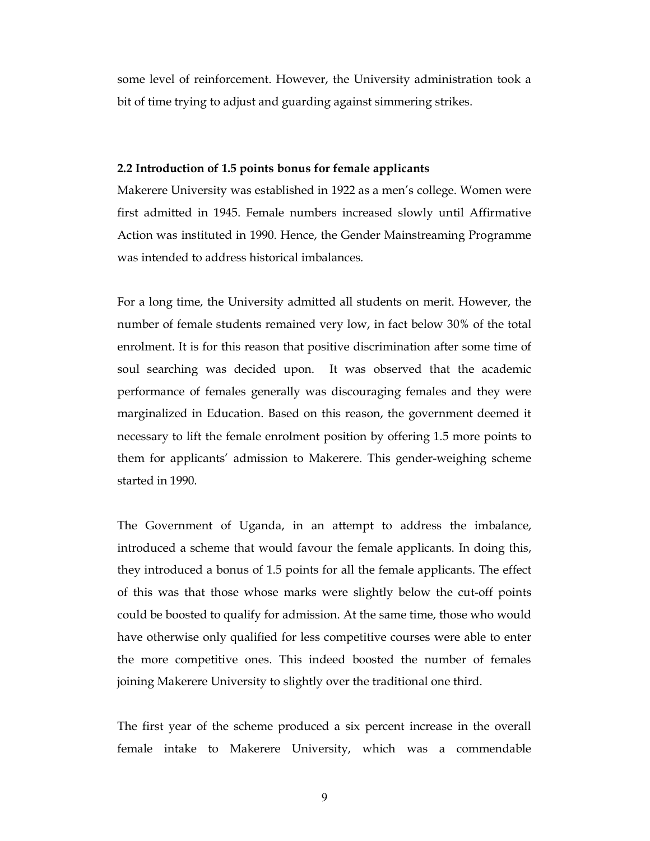some level of reinforcement. However, the University administration took a bit of time trying to adjust and guarding against simmering strikes.

# 2.2 Introduction of 1.5 points bonus for female applicants

Makerere University was established in 1922 as a men's college. Women were first admitted in 1945. Female numbers increased slowly until Affirmative Action was instituted in 1990. Hence, the Gender Mainstreaming Programme was intended to address historical imbalances.

For a long time, the University admitted all students on merit. However, the number of female students remained very low, in fact below 30% of the total enrolment. It is for this reason that positive discrimination after some time of soul searching was decided upon. It was observed that the academic performance of females generally was discouraging females and they were marginalized in Education. Based on this reason, the government deemed it necessary to lift the female enrolment position by offering 1.5 more points to them for applicants' admission to Makerere. This gender-weighing scheme started in 1990.

The Government of Uganda, in an attempt to address the imbalance, introduced a scheme that would favour the female applicants. In doing this, they introduced a bonus of 1.5 points for all the female applicants. The effect of this was that those whose marks were slightly below the cut-off points could be boosted to qualify for admission. At the same time, those who would have otherwise only qualified for less competitive courses were able to enter the more competitive ones. This indeed boosted the number of females joining Makerere University to slightly over the traditional one third.

The first year of the scheme produced a six percent increase in the overall female intake to Makerere University, which was a commendable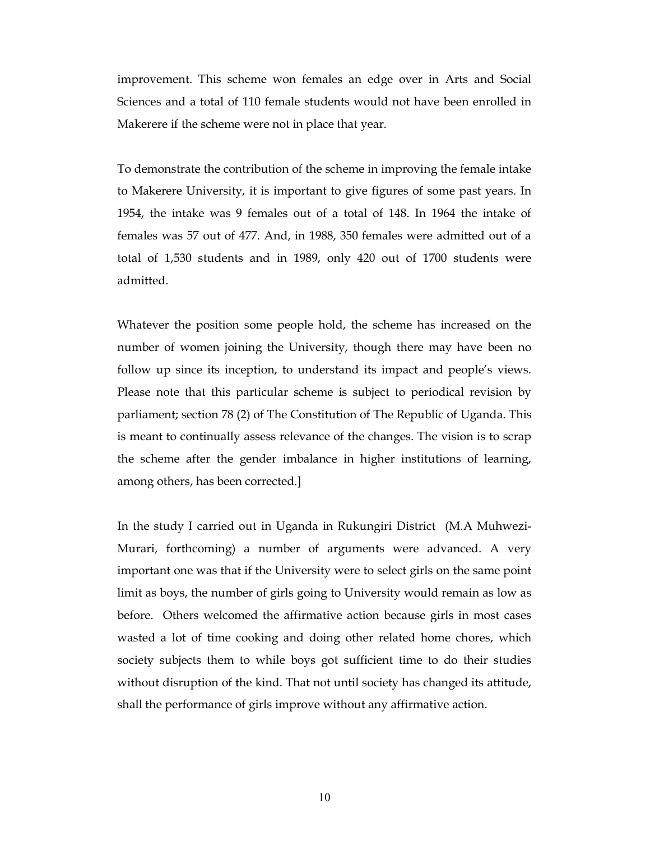improvement. This scheme won females an edge over in Arts and Social Sciences and a total of 110 female students would not have been enrolled in Makerere if the scheme were not in place that year.

To demonstrate the contribution of the scheme in improving the female intake to Makerere University, it is important to give figures of some past years. In 1954, the intake was 9 females out of a total of 148. In 1964 the intake of females was 57 out of 477. And, in 1988, 350 females were admitted out of a total of 1,530 students and in 1989, only 420 out of 1700 students were admitted.

Whatever the position some people hold, the scheme has increased on the number of women joining the University, though there may have been no follow up since its inception, to understand its impact and people's views. Please note that this particular scheme is subject to periodical revision by parliament; section 78 (2) of The Constitution of The Republic of Uganda. This is meant to continually assess relevance of the changes. The vision is to scrap the scheme after the gender imbalance in higher institutions of learning, among others, has been corrected.]

In the study I carried out in Uganda in Rukungiri District (M.A Muhwezi-Murari, forthcoming) a number of arguments were advanced. A very important one was that if the University were to select girls on the same point limit as boys, the number of girls going to University would remain as low as before. Others welcomed the affirmative action because girls in most cases wasted a lot of time cooking and doing other related home chores, which society subjects them to while boys got sufficient time to do their studies without disruption of the kind. That not until society has changed its attitude, shall the performance of girls improve without any affirmative action.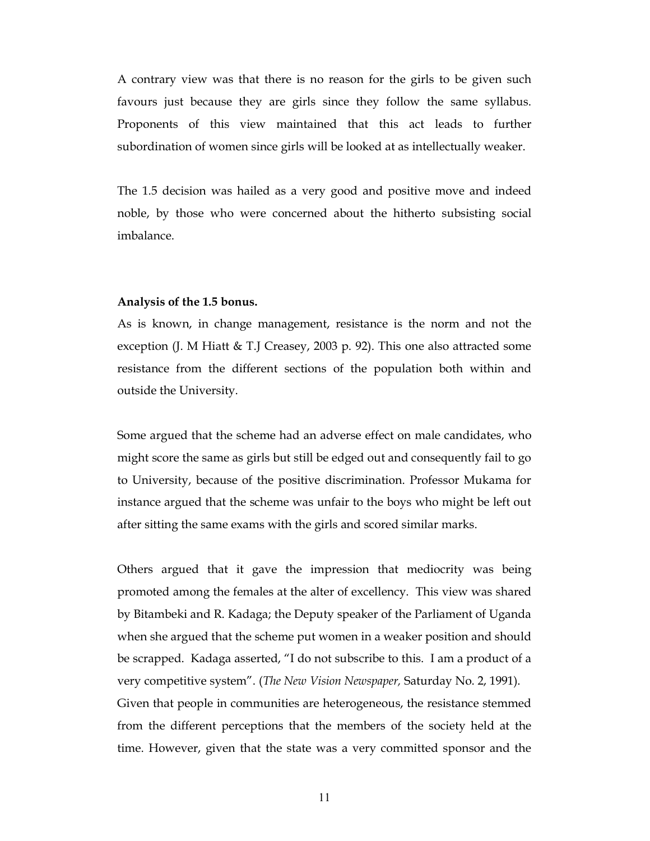A contrary view was that there is no reason for the girls to be given such favours just because they are girls since they follow the same syllabus. Proponents of this view maintained that this act leads to further subordination of women since girls will be looked at as intellectually weaker.

The 1.5 decision was hailed as a very good and positive move and indeed noble, by those who were concerned about the hitherto subsisting social imbalance.

#### Analysis of the 1.5 bonus.

As is known, in change management, resistance is the norm and not the exception (J. M Hiatt & T.J Creasey, 2003 p. 92). This one also attracted some resistance from the different sections of the population both within and outside the University.

Some argued that the scheme had an adverse effect on male candidates, who might score the same as girls but still be edged out and consequently fail to go to University, because of the positive discrimination. Professor Mukama for instance argued that the scheme was unfair to the boys who might be left out after sitting the same exams with the girls and scored similar marks.

Others argued that it gave the impression that mediocrity was being promoted among the females at the alter of excellency. This view was shared by Bitambeki and R. Kadaga; the Deputy speaker of the Parliament of Uganda when she argued that the scheme put women in a weaker position and should be scrapped. Kadaga asserted, "I do not subscribe to this. I am a product of a very competitive system". (The New Vision Newspaper, Saturday No. 2, 1991). Given that people in communities are heterogeneous, the resistance stemmed from the different perceptions that the members of the society held at the time. However, given that the state was a very committed sponsor and the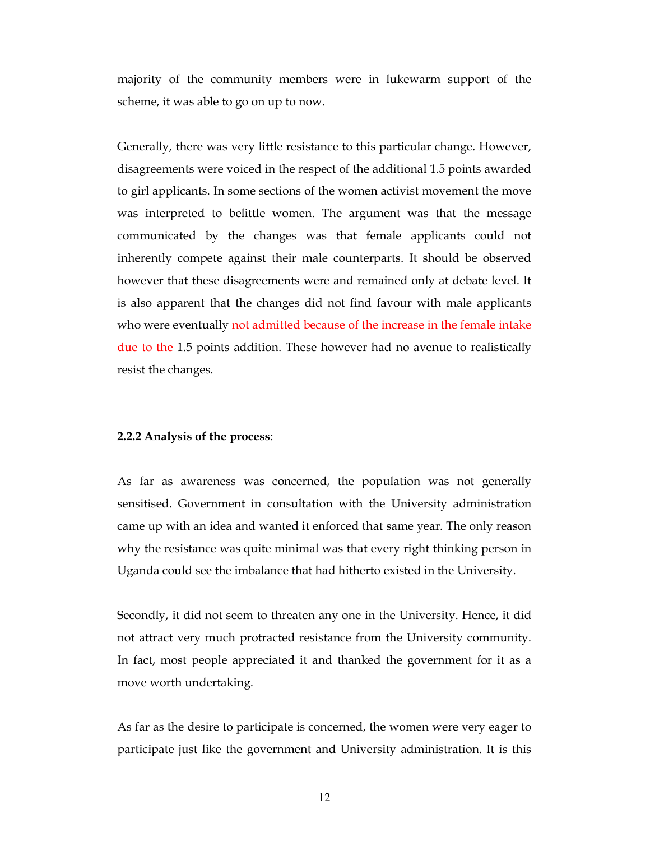majority of the community members were in lukewarm support of the scheme, it was able to go on up to now.

Generally, there was very little resistance to this particular change. However, disagreements were voiced in the respect of the additional 1.5 points awarded to girl applicants. In some sections of the women activist movement the move was interpreted to belittle women. The argument was that the message communicated by the changes was that female applicants could not inherently compete against their male counterparts. It should be observed however that these disagreements were and remained only at debate level. It is also apparent that the changes did not find favour with male applicants who were eventually not admitted because of the increase in the female intake due to the 1.5 points addition. These however had no avenue to realistically resist the changes.

#### 2.2.2 Analysis of the process:

As far as awareness was concerned, the population was not generally sensitised. Government in consultation with the University administration came up with an idea and wanted it enforced that same year. The only reason why the resistance was quite minimal was that every right thinking person in Uganda could see the imbalance that had hitherto existed in the University.

Secondly, it did not seem to threaten any one in the University. Hence, it did not attract very much protracted resistance from the University community. In fact, most people appreciated it and thanked the government for it as a move worth undertaking.

As far as the desire to participate is concerned, the women were very eager to participate just like the government and University administration. It is this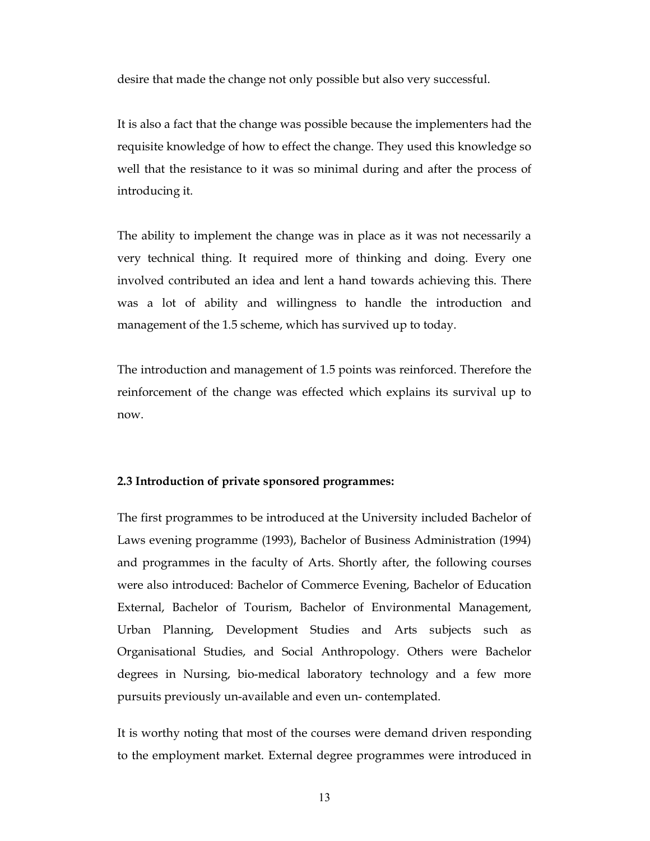desire that made the change not only possible but also very successful.

It is also a fact that the change was possible because the implementers had the requisite knowledge of how to effect the change. They used this knowledge so well that the resistance to it was so minimal during and after the process of introducing it.

The ability to implement the change was in place as it was not necessarily a very technical thing. It required more of thinking and doing. Every one involved contributed an idea and lent a hand towards achieving this. There was a lot of ability and willingness to handle the introduction and management of the 1.5 scheme, which has survived up to today.

The introduction and management of 1.5 points was reinforced. Therefore the reinforcement of the change was effected which explains its survival up to now.

## 2.3 Introduction of private sponsored programmes:

The first programmes to be introduced at the University included Bachelor of Laws evening programme (1993), Bachelor of Business Administration (1994) and programmes in the faculty of Arts. Shortly after, the following courses were also introduced: Bachelor of Commerce Evening, Bachelor of Education External, Bachelor of Tourism, Bachelor of Environmental Management, Urban Planning, Development Studies and Arts subjects such as Organisational Studies, and Social Anthropology. Others were Bachelor degrees in Nursing, bio-medical laboratory technology and a few more pursuits previously un-available and even un- contemplated.

It is worthy noting that most of the courses were demand driven responding to the employment market. External degree programmes were introduced in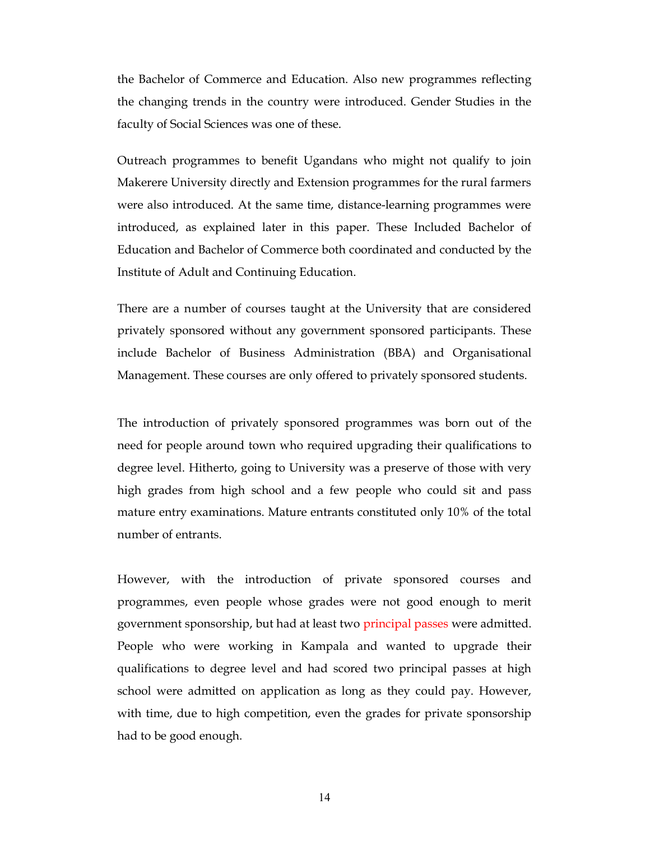the Bachelor of Commerce and Education. Also new programmes reflecting the changing trends in the country were introduced. Gender Studies in the faculty of Social Sciences was one of these.

Outreach programmes to benefit Ugandans who might not qualify to join Makerere University directly and Extension programmes for the rural farmers were also introduced. At the same time, distance-learning programmes were introduced, as explained later in this paper. These Included Bachelor of Education and Bachelor of Commerce both coordinated and conducted by the Institute of Adult and Continuing Education.

There are a number of courses taught at the University that are considered privately sponsored without any government sponsored participants. These include Bachelor of Business Administration (BBA) and Organisational Management. These courses are only offered to privately sponsored students.

The introduction of privately sponsored programmes was born out of the need for people around town who required upgrading their qualifications to degree level. Hitherto, going to University was a preserve of those with very high grades from high school and a few people who could sit and pass mature entry examinations. Mature entrants constituted only 10% of the total number of entrants.

However, with the introduction of private sponsored courses and programmes, even people whose grades were not good enough to merit government sponsorship, but had at least two principal passes were admitted. People who were working in Kampala and wanted to upgrade their qualifications to degree level and had scored two principal passes at high school were admitted on application as long as they could pay. However, with time, due to high competition, even the grades for private sponsorship had to be good enough.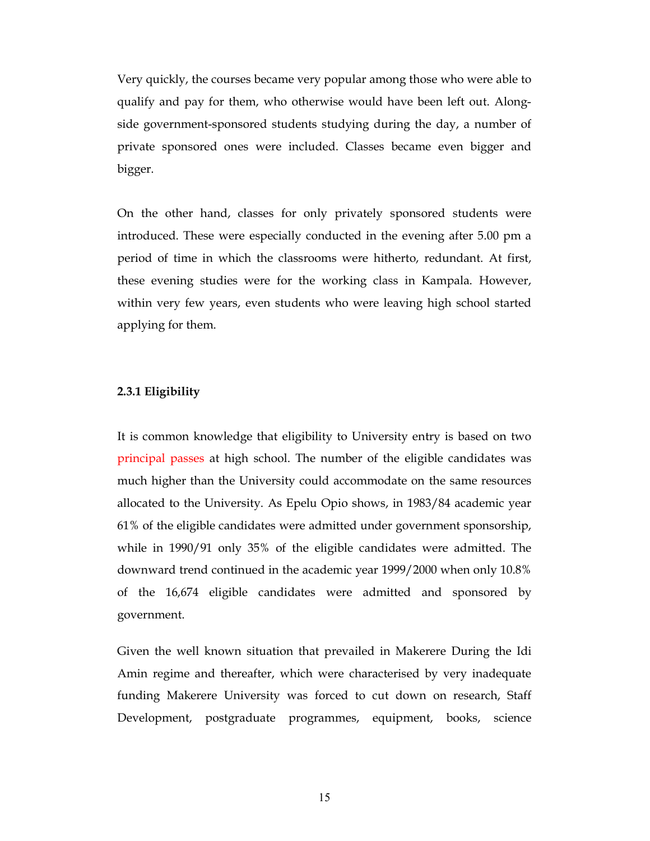Very quickly, the courses became very popular among those who were able to qualify and pay for them, who otherwise would have been left out. Alongside government-sponsored students studying during the day, a number of private sponsored ones were included. Classes became even bigger and bigger.

On the other hand, classes for only privately sponsored students were introduced. These were especially conducted in the evening after 5.00 pm a period of time in which the classrooms were hitherto, redundant. At first, these evening studies were for the working class in Kampala. However, within very few years, even students who were leaving high school started applying for them.

# 2.3.1 Eligibility

It is common knowledge that eligibility to University entry is based on two principal passes at high school. The number of the eligible candidates was much higher than the University could accommodate on the same resources allocated to the University. As Epelu Opio shows, in 1983/84 academic year 61% of the eligible candidates were admitted under government sponsorship, while in 1990/91 only 35% of the eligible candidates were admitted. The downward trend continued in the academic year 1999/2000 when only 10.8% of the 16,674 eligible candidates were admitted and sponsored by government.

Given the well known situation that prevailed in Makerere During the Idi Amin regime and thereafter, which were characterised by very inadequate funding Makerere University was forced to cut down on research, Staff Development, postgraduate programmes, equipment, books, science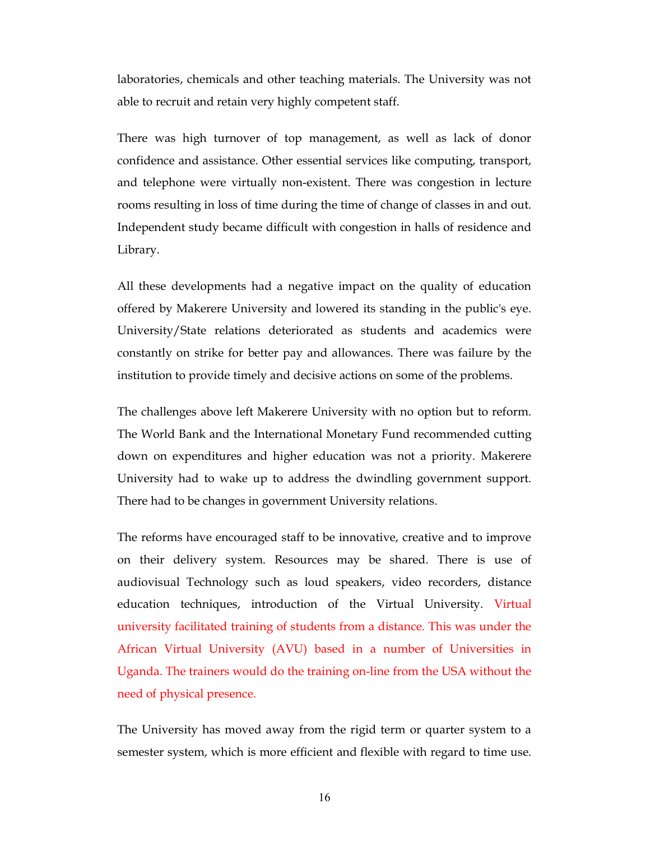laboratories, chemicals and other teaching materials. The University was not able to recruit and retain very highly competent staff.

There was high turnover of top management, as well as lack of donor confidence and assistance. Other essential services like computing, transport, and telephone were virtually non-existent. There was congestion in lecture rooms resulting in loss of time during the time of change of classes in and out. Independent study became difficult with congestion in halls of residence and Library.

All these developments had a negative impact on the quality of education offered by Makerere University and lowered its standing in the public's eye. University/State relations deteriorated as students and academics were constantly on strike for better pay and allowances. There was failure by the institution to provide timely and decisive actions on some of the problems.

The challenges above left Makerere University with no option but to reform. The World Bank and the International Monetary Fund recommended cutting down on expenditures and higher education was not a priority. Makerere University had to wake up to address the dwindling government support. There had to be changes in government University relations.

The reforms have encouraged staff to be innovative, creative and to improve on their delivery system. Resources may be shared. There is use of audiovisual Technology such as loud speakers, video recorders, distance education techniques, introduction of the Virtual University. Virtual university facilitated training of students from a distance. This was under the African Virtual University (AVU) based in a number of Universities in Uganda. The trainers would do the training on-line from the USA without the need of physical presence.

The University has moved away from the rigid term or quarter system to a semester system, which is more efficient and flexible with regard to time use.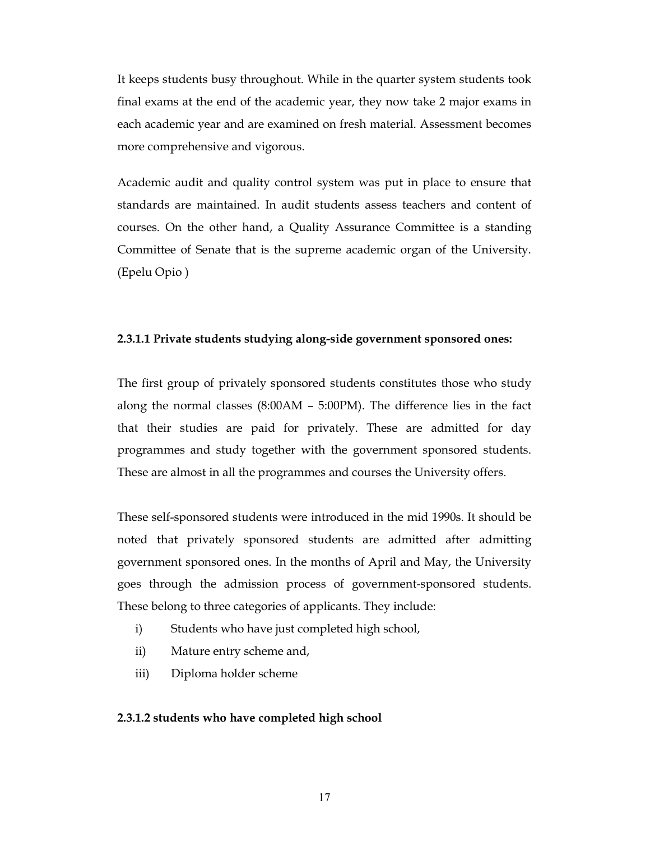It keeps students busy throughout. While in the quarter system students took final exams at the end of the academic year, they now take 2 major exams in each academic year and are examined on fresh material. Assessment becomes more comprehensive and vigorous.

Academic audit and quality control system was put in place to ensure that standards are maintained. In audit students assess teachers and content of courses. On the other hand, a Quality Assurance Committee is a standing Committee of Senate that is the supreme academic organ of the University. (Epelu Opio )

# 2.3.1.1 Private students studying along-side government sponsored ones:

The first group of privately sponsored students constitutes those who study along the normal classes (8:00AM – 5:00PM). The difference lies in the fact that their studies are paid for privately. These are admitted for day programmes and study together with the government sponsored students. These are almost in all the programmes and courses the University offers.

These self-sponsored students were introduced in the mid 1990s. It should be noted that privately sponsored students are admitted after admitting government sponsored ones. In the months of April and May, the University goes through the admission process of government-sponsored students. These belong to three categories of applicants. They include:

- i) Students who have just completed high school,
- ii) Mature entry scheme and,
- iii) Diploma holder scheme

### 2.3.1.2 students who have completed high school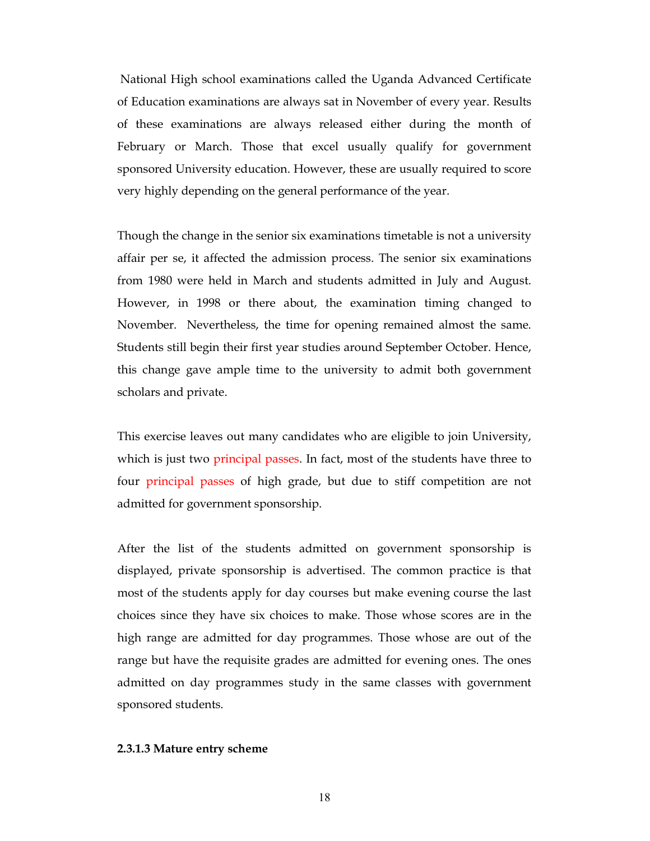National High school examinations called the Uganda Advanced Certificate of Education examinations are always sat in November of every year. Results of these examinations are always released either during the month of February or March. Those that excel usually qualify for government sponsored University education. However, these are usually required to score very highly depending on the general performance of the year.

Though the change in the senior six examinations timetable is not a university affair per se, it affected the admission process. The senior six examinations from 1980 were held in March and students admitted in July and August. However, in 1998 or there about, the examination timing changed to November. Nevertheless, the time for opening remained almost the same. Students still begin their first year studies around September October. Hence, this change gave ample time to the university to admit both government scholars and private.

This exercise leaves out many candidates who are eligible to join University, which is just two principal passes. In fact, most of the students have three to four principal passes of high grade, but due to stiff competition are not admitted for government sponsorship.

After the list of the students admitted on government sponsorship is displayed, private sponsorship is advertised. The common practice is that most of the students apply for day courses but make evening course the last choices since they have six choices to make. Those whose scores are in the high range are admitted for day programmes. Those whose are out of the range but have the requisite grades are admitted for evening ones. The ones admitted on day programmes study in the same classes with government sponsored students.

## 2.3.1.3 Mature entry scheme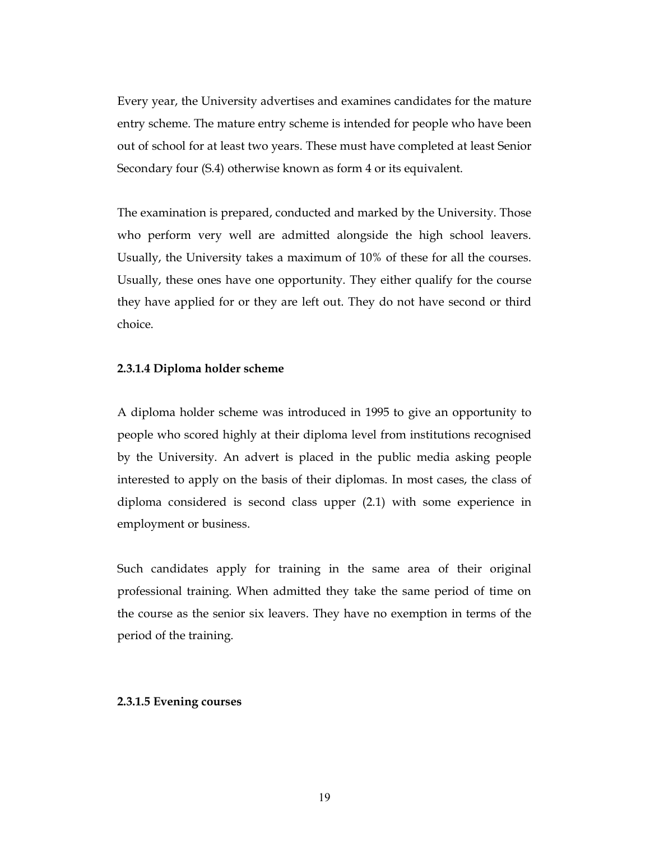Every year, the University advertises and examines candidates for the mature entry scheme. The mature entry scheme is intended for people who have been out of school for at least two years. These must have completed at least Senior Secondary four (S.4) otherwise known as form 4 or its equivalent.

The examination is prepared, conducted and marked by the University. Those who perform very well are admitted alongside the high school leavers. Usually, the University takes a maximum of 10% of these for all the courses. Usually, these ones have one opportunity. They either qualify for the course they have applied for or they are left out. They do not have second or third choice.

### 2.3.1.4 Diploma holder scheme

A diploma holder scheme was introduced in 1995 to give an opportunity to people who scored highly at their diploma level from institutions recognised by the University. An advert is placed in the public media asking people interested to apply on the basis of their diplomas. In most cases, the class of diploma considered is second class upper (2.1) with some experience in employment or business.

Such candidates apply for training in the same area of their original professional training. When admitted they take the same period of time on the course as the senior six leavers. They have no exemption in terms of the period of the training.

#### 2.3.1.5 Evening courses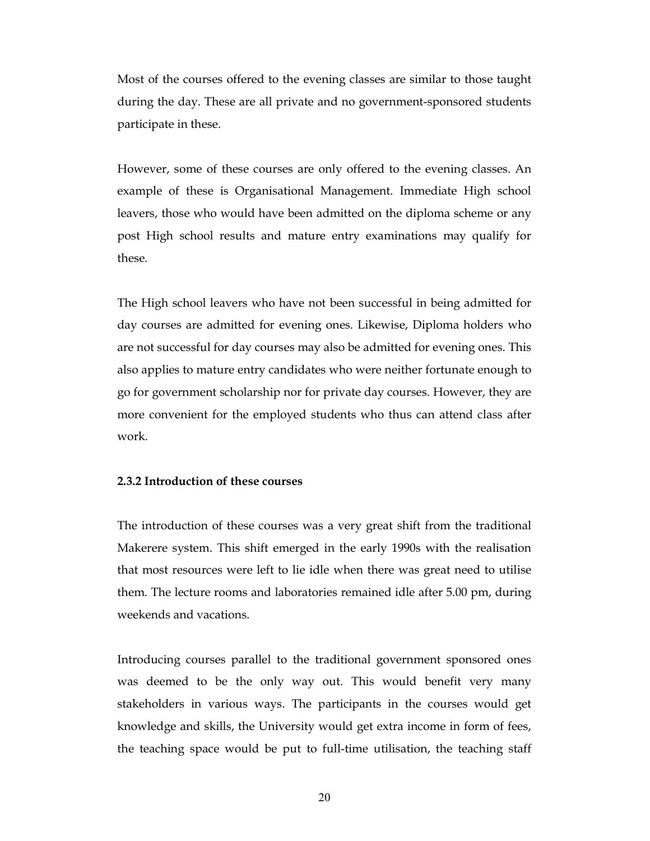Most of the courses offered to the evening classes are similar to those taught during the day. These are all private and no government-sponsored students participate in these.

However, some of these courses are only offered to the evening classes. An example of these is Organisational Management. Immediate High school leavers, those who would have been admitted on the diploma scheme or any post High school results and mature entry examinations may qualify for these.

The High school leavers who have not been successful in being admitted for day courses are admitted for evening ones. Likewise, Diploma holders who are not successful for day courses may also be admitted for evening ones. This also applies to mature entry candidates who were neither fortunate enough to go for government scholarship nor for private day courses. However, they are more convenient for the employed students who thus can attend class after work.

# 2.3.2 Introduction of these courses

The introduction of these courses was a very great shift from the traditional Makerere system. This shift emerged in the early 1990s with the realisation that most resources were left to lie idle when there was great need to utilise them. The lecture rooms and laboratories remained idle after 5.00 pm, during weekends and vacations.

Introducing courses parallel to the traditional government sponsored ones was deemed to be the only way out. This would benefit very many stakeholders in various ways. The participants in the courses would get knowledge and skills, the University would get extra income in form of fees, the teaching space would be put to full-time utilisation, the teaching staff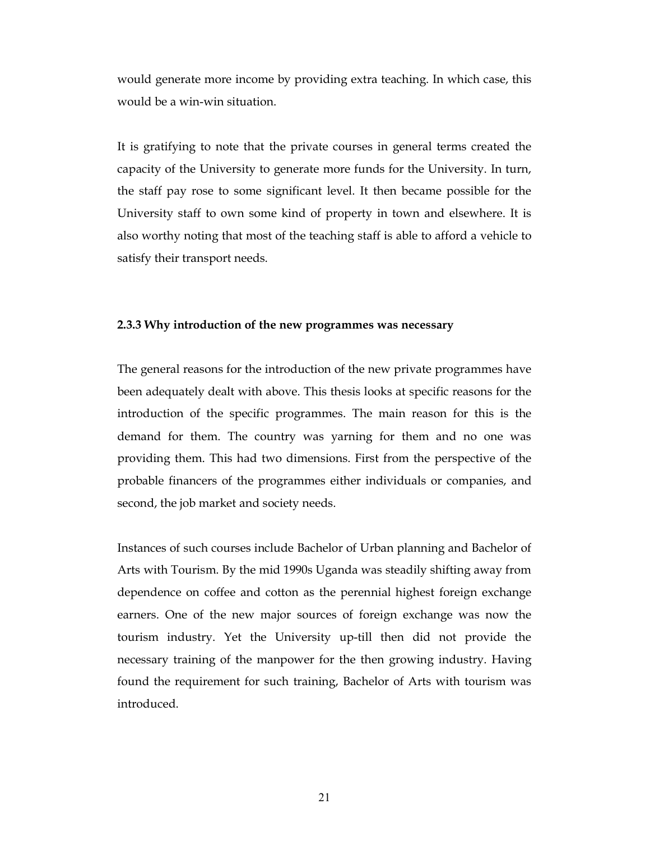would generate more income by providing extra teaching. In which case, this would be a win-win situation.

It is gratifying to note that the private courses in general terms created the capacity of the University to generate more funds for the University. In turn, the staff pay rose to some significant level. It then became possible for the University staff to own some kind of property in town and elsewhere. It is also worthy noting that most of the teaching staff is able to afford a vehicle to satisfy their transport needs.

#### 2.3.3 Why introduction of the new programmes was necessary

The general reasons for the introduction of the new private programmes have been adequately dealt with above. This thesis looks at specific reasons for the introduction of the specific programmes. The main reason for this is the demand for them. The country was yarning for them and no one was providing them. This had two dimensions. First from the perspective of the probable financers of the programmes either individuals or companies, and second, the job market and society needs.

Instances of such courses include Bachelor of Urban planning and Bachelor of Arts with Tourism. By the mid 1990s Uganda was steadily shifting away from dependence on coffee and cotton as the perennial highest foreign exchange earners. One of the new major sources of foreign exchange was now the tourism industry. Yet the University up-till then did not provide the necessary training of the manpower for the then growing industry. Having found the requirement for such training, Bachelor of Arts with tourism was introduced.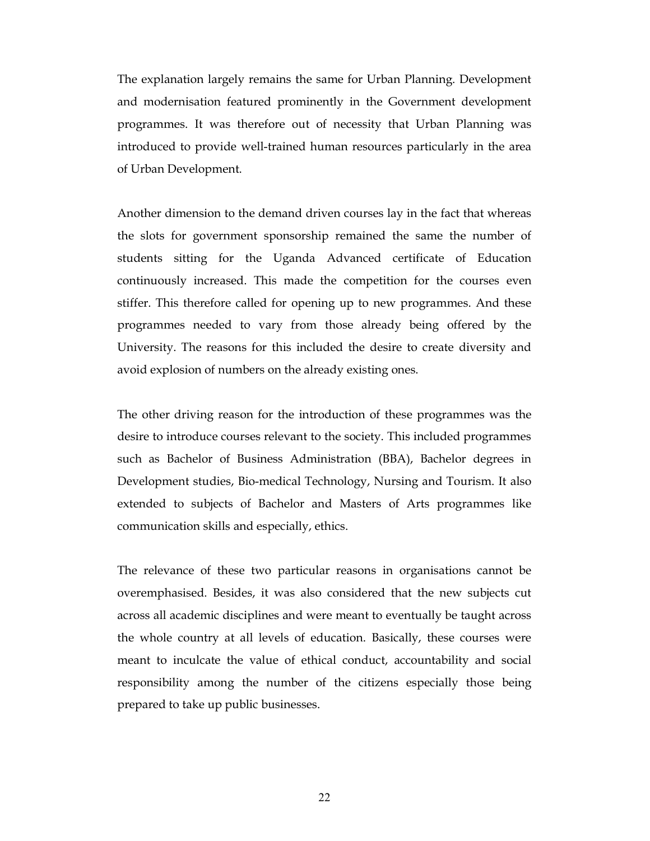The explanation largely remains the same for Urban Planning. Development and modernisation featured prominently in the Government development programmes. It was therefore out of necessity that Urban Planning was introduced to provide well-trained human resources particularly in the area of Urban Development.

Another dimension to the demand driven courses lay in the fact that whereas the slots for government sponsorship remained the same the number of students sitting for the Uganda Advanced certificate of Education continuously increased. This made the competition for the courses even stiffer. This therefore called for opening up to new programmes. And these programmes needed to vary from those already being offered by the University. The reasons for this included the desire to create diversity and avoid explosion of numbers on the already existing ones.

The other driving reason for the introduction of these programmes was the desire to introduce courses relevant to the society. This included programmes such as Bachelor of Business Administration (BBA), Bachelor degrees in Development studies, Bio-medical Technology, Nursing and Tourism. It also extended to subjects of Bachelor and Masters of Arts programmes like communication skills and especially, ethics.

The relevance of these two particular reasons in organisations cannot be overemphasised. Besides, it was also considered that the new subjects cut across all academic disciplines and were meant to eventually be taught across the whole country at all levels of education. Basically, these courses were meant to inculcate the value of ethical conduct, accountability and social responsibility among the number of the citizens especially those being prepared to take up public businesses.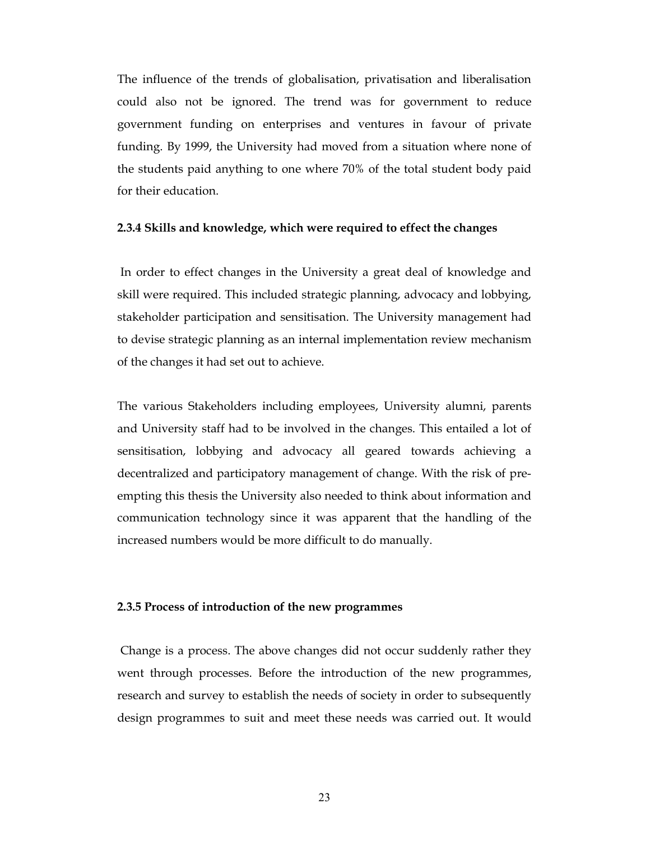The influence of the trends of globalisation, privatisation and liberalisation could also not be ignored. The trend was for government to reduce government funding on enterprises and ventures in favour of private funding. By 1999, the University had moved from a situation where none of the students paid anything to one where 70% of the total student body paid for their education.

# 2.3.4 Skills and knowledge, which were required to effect the changes

 In order to effect changes in the University a great deal of knowledge and skill were required. This included strategic planning, advocacy and lobbying, stakeholder participation and sensitisation. The University management had to devise strategic planning as an internal implementation review mechanism of the changes it had set out to achieve.

The various Stakeholders including employees, University alumni, parents and University staff had to be involved in the changes. This entailed a lot of sensitisation, lobbying and advocacy all geared towards achieving a decentralized and participatory management of change. With the risk of preempting this thesis the University also needed to think about information and communication technology since it was apparent that the handling of the increased numbers would be more difficult to do manually.

# 2.3.5 Process of introduction of the new programmes

 Change is a process. The above changes did not occur suddenly rather they went through processes. Before the introduction of the new programmes, research and survey to establish the needs of society in order to subsequently design programmes to suit and meet these needs was carried out. It would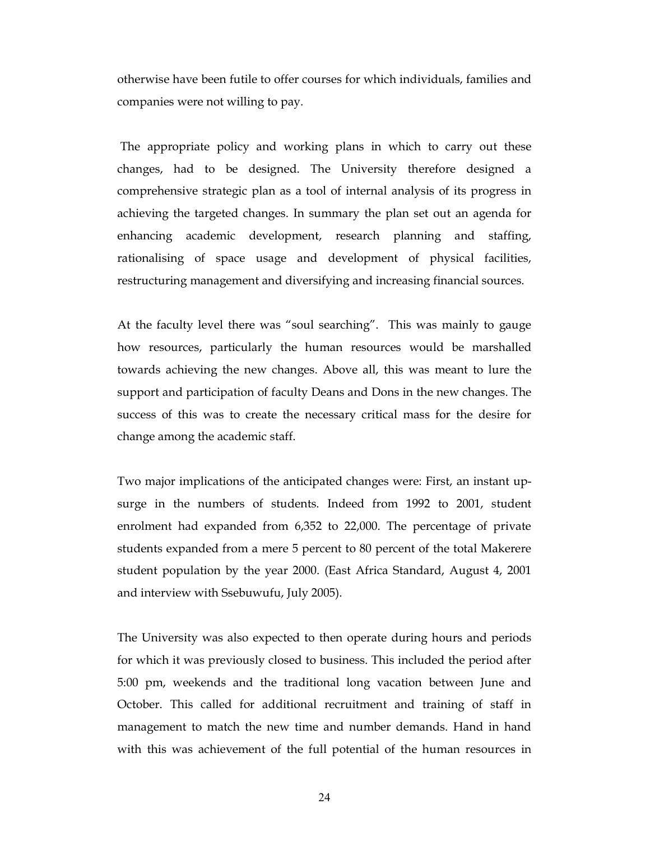otherwise have been futile to offer courses for which individuals, families and companies were not willing to pay.

 The appropriate policy and working plans in which to carry out these changes, had to be designed. The University therefore designed a comprehensive strategic plan as a tool of internal analysis of its progress in achieving the targeted changes. In summary the plan set out an agenda for enhancing academic development, research planning and staffing, rationalising of space usage and development of physical facilities, restructuring management and diversifying and increasing financial sources.

At the faculty level there was "soul searching". This was mainly to gauge how resources, particularly the human resources would be marshalled towards achieving the new changes. Above all, this was meant to lure the support and participation of faculty Deans and Dons in the new changes. The success of this was to create the necessary critical mass for the desire for change among the academic staff.

Two major implications of the anticipated changes were: First, an instant upsurge in the numbers of students. Indeed from 1992 to 2001, student enrolment had expanded from 6,352 to 22,000. The percentage of private students expanded from a mere 5 percent to 80 percent of the total Makerere student population by the year 2000. (East Africa Standard, August 4, 2001 and interview with Ssebuwufu, July 2005).

The University was also expected to then operate during hours and periods for which it was previously closed to business. This included the period after 5:00 pm, weekends and the traditional long vacation between June and October. This called for additional recruitment and training of staff in management to match the new time and number demands. Hand in hand with this was achievement of the full potential of the human resources in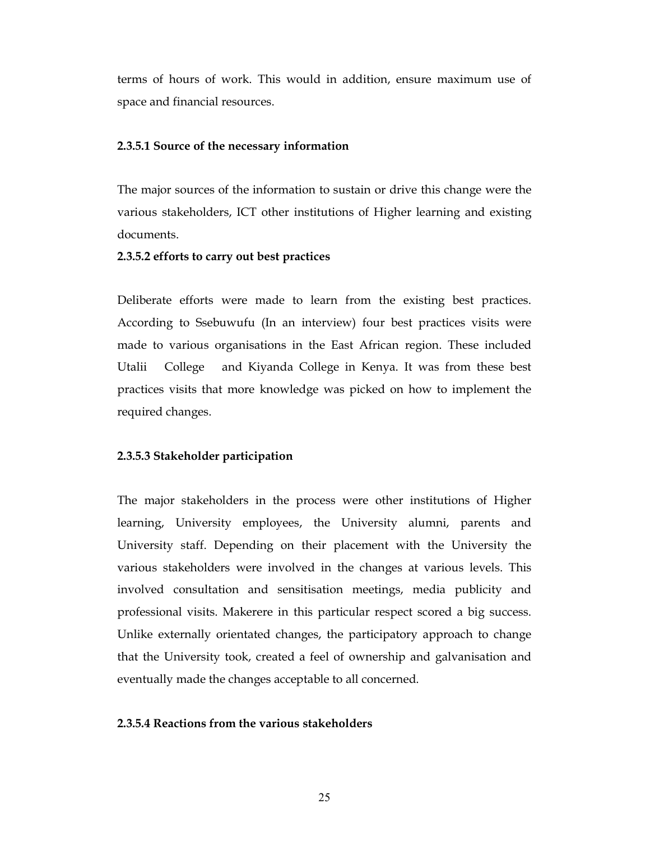terms of hours of work. This would in addition, ensure maximum use of space and financial resources.

## 2.3.5.1 Source of the necessary information

The major sources of the information to sustain or drive this change were the various stakeholders, ICT other institutions of Higher learning and existing documents.

#### 2.3.5.2 efforts to carry out best practices

Deliberate efforts were made to learn from the existing best practices. According to Ssebuwufu (In an interview) four best practices visits were made to various organisations in the East African region. These included Utalii College and Kiyanda College in Kenya. It was from these best practices visits that more knowledge was picked on how to implement the required changes.

## 2.3.5.3 Stakeholder participation

The major stakeholders in the process were other institutions of Higher learning, University employees, the University alumni, parents and University staff. Depending on their placement with the University the various stakeholders were involved in the changes at various levels. This involved consultation and sensitisation meetings, media publicity and professional visits. Makerere in this particular respect scored a big success. Unlike externally orientated changes, the participatory approach to change that the University took, created a feel of ownership and galvanisation and eventually made the changes acceptable to all concerned.

# 2.3.5.4 Reactions from the various stakeholders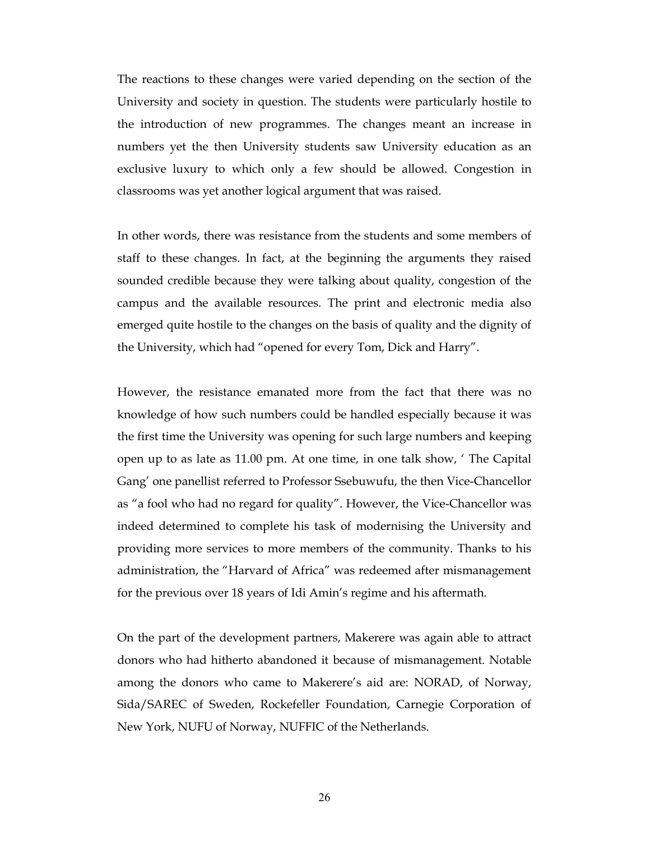The reactions to these changes were varied depending on the section of the University and society in question. The students were particularly hostile to the introduction of new programmes. The changes meant an increase in numbers yet the then University students saw University education as an exclusive luxury to which only a few should be allowed. Congestion in classrooms was yet another logical argument that was raised.

In other words, there was resistance from the students and some members of staff to these changes. In fact, at the beginning the arguments they raised sounded credible because they were talking about quality, congestion of the campus and the available resources. The print and electronic media also emerged quite hostile to the changes on the basis of quality and the dignity of the University, which had "opened for every Tom, Dick and Harry".

However, the resistance emanated more from the fact that there was no knowledge of how such numbers could be handled especially because it was the first time the University was opening for such large numbers and keeping open up to as late as 11.00 pm. At one time, in one talk show, ' The Capital Gang' one panellist referred to Professor Ssebuwufu, the then Vice-Chancellor as "a fool who had no regard for quality". However, the Vice-Chancellor was indeed determined to complete his task of modernising the University and providing more services to more members of the community. Thanks to his administration, the "Harvard of Africa" was redeemed after mismanagement for the previous over 18 years of Idi Amin's regime and his aftermath.

On the part of the development partners, Makerere was again able to attract donors who had hitherto abandoned it because of mismanagement. Notable among the donors who came to Makerere's aid are: NORAD, of Norway, Sida/SAREC of Sweden, Rockefeller Foundation, Carnegie Corporation of New York, NUFU of Norway, NUFFIC of the Netherlands.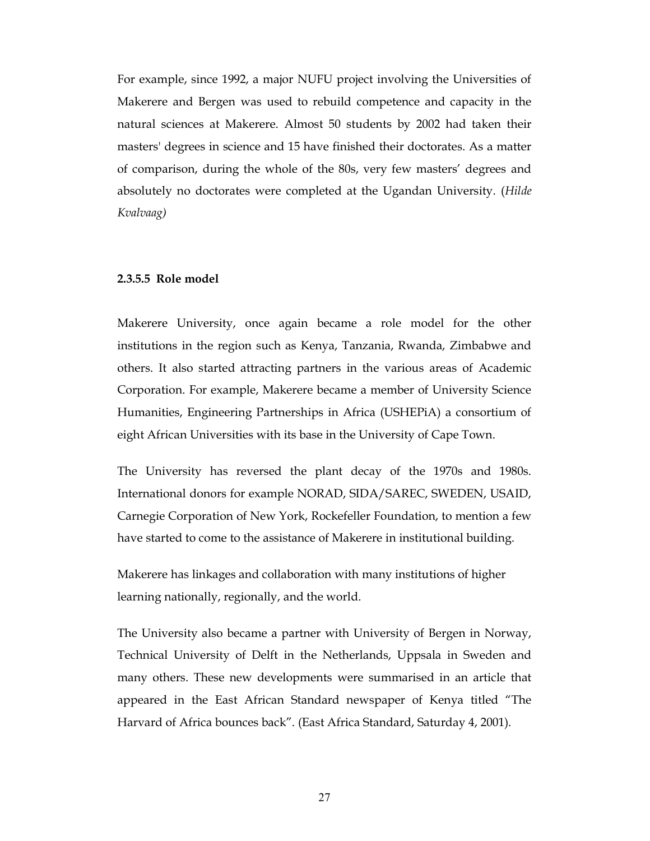For example, since 1992, a major NUFU project involving the Universities of Makerere and Bergen was used to rebuild competence and capacity in the natural sciences at Makerere. Almost 50 students by 2002 had taken their masters' degrees in science and 15 have finished their doctorates. As a matter of comparison, during the whole of the 80s, very few masters' degrees and absolutely no doctorates were completed at the Ugandan University. (Hilde Kvalvaag)

#### 2.3.5.5 Role model

Makerere University, once again became a role model for the other institutions in the region such as Kenya, Tanzania, Rwanda, Zimbabwe and others. It also started attracting partners in the various areas of Academic Corporation. For example, Makerere became a member of University Science Humanities, Engineering Partnerships in Africa (USHEPiA) a consortium of eight African Universities with its base in the University of Cape Town.

The University has reversed the plant decay of the 1970s and 1980s. International donors for example NORAD, SIDA/SAREC, SWEDEN, USAID, Carnegie Corporation of New York, Rockefeller Foundation, to mention a few have started to come to the assistance of Makerere in institutional building.

Makerere has linkages and collaboration with many institutions of higher learning nationally, regionally, and the world.

The University also became a partner with University of Bergen in Norway, Technical University of Delft in the Netherlands, Uppsala in Sweden and many others. These new developments were summarised in an article that appeared in the East African Standard newspaper of Kenya titled "The Harvard of Africa bounces back". (East Africa Standard, Saturday 4, 2001).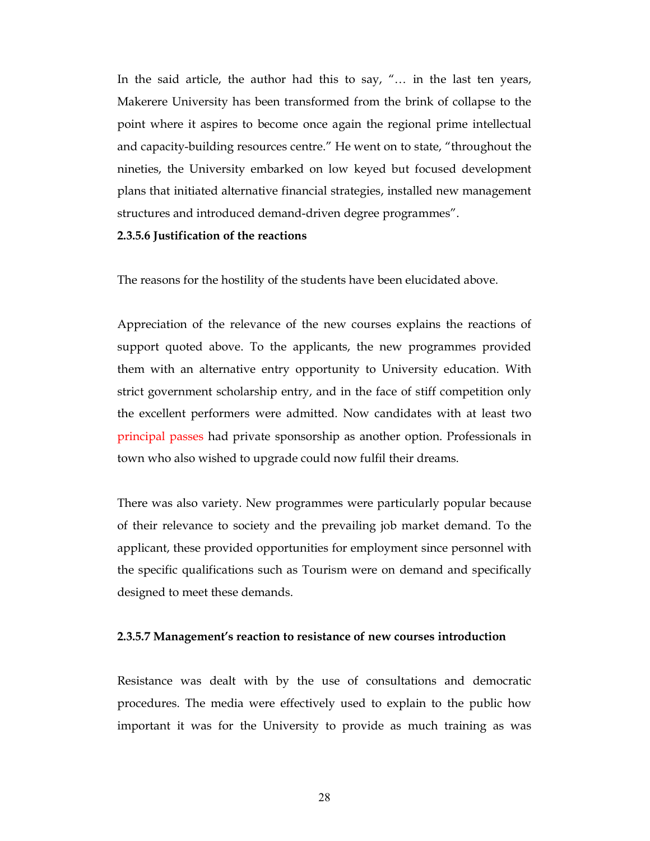In the said article, the author had this to say, "… in the last ten years, Makerere University has been transformed from the brink of collapse to the point where it aspires to become once again the regional prime intellectual and capacity-building resources centre." He went on to state, "throughout the nineties, the University embarked on low keyed but focused development plans that initiated alternative financial strategies, installed new management structures and introduced demand-driven degree programmes".

#### 2.3.5.6 Justification of the reactions

The reasons for the hostility of the students have been elucidated above.

Appreciation of the relevance of the new courses explains the reactions of support quoted above. To the applicants, the new programmes provided them with an alternative entry opportunity to University education. With strict government scholarship entry, and in the face of stiff competition only the excellent performers were admitted. Now candidates with at least two principal passes had private sponsorship as another option. Professionals in town who also wished to upgrade could now fulfil their dreams.

There was also variety. New programmes were particularly popular because of their relevance to society and the prevailing job market demand. To the applicant, these provided opportunities for employment since personnel with the specific qualifications such as Tourism were on demand and specifically designed to meet these demands.

#### 2.3.5.7 Management's reaction to resistance of new courses introduction

Resistance was dealt with by the use of consultations and democratic procedures. The media were effectively used to explain to the public how important it was for the University to provide as much training as was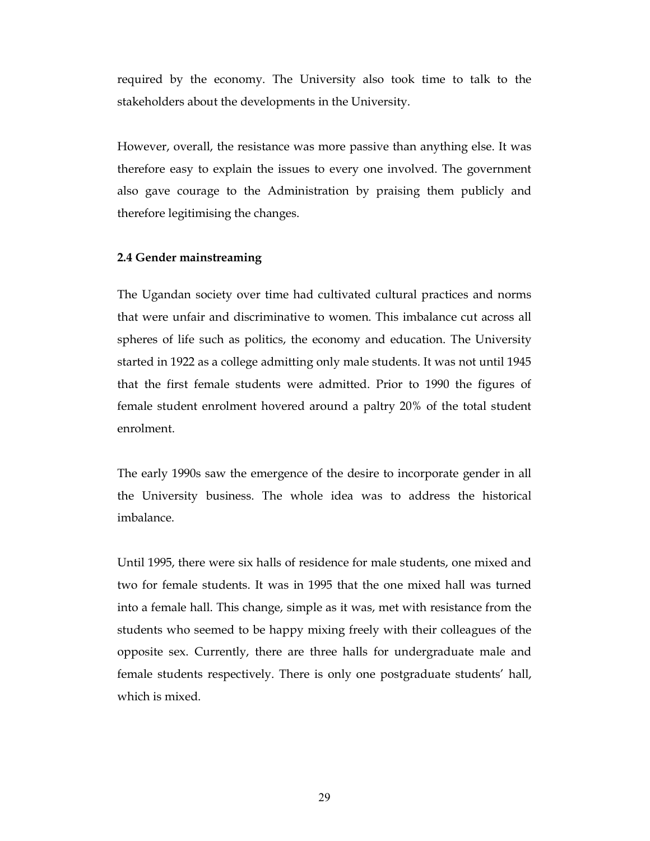required by the economy. The University also took time to talk to the stakeholders about the developments in the University.

However, overall, the resistance was more passive than anything else. It was therefore easy to explain the issues to every one involved. The government also gave courage to the Administration by praising them publicly and therefore legitimising the changes.

#### 2.4 Gender mainstreaming

The Ugandan society over time had cultivated cultural practices and norms that were unfair and discriminative to women. This imbalance cut across all spheres of life such as politics, the economy and education. The University started in 1922 as a college admitting only male students. It was not until 1945 that the first female students were admitted. Prior to 1990 the figures of female student enrolment hovered around a paltry 20% of the total student enrolment.

The early 1990s saw the emergence of the desire to incorporate gender in all the University business. The whole idea was to address the historical imbalance.

Until 1995, there were six halls of residence for male students, one mixed and two for female students. It was in 1995 that the one mixed hall was turned into a female hall. This change, simple as it was, met with resistance from the students who seemed to be happy mixing freely with their colleagues of the opposite sex. Currently, there are three halls for undergraduate male and female students respectively. There is only one postgraduate students' hall, which is mixed.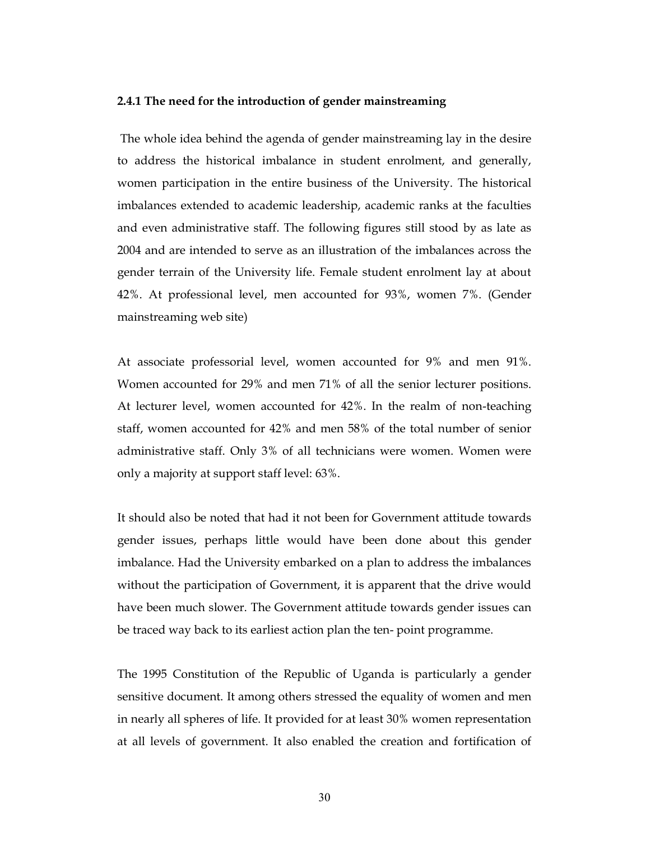#### 2.4.1 The need for the introduction of gender mainstreaming

 The whole idea behind the agenda of gender mainstreaming lay in the desire to address the historical imbalance in student enrolment, and generally, women participation in the entire business of the University. The historical imbalances extended to academic leadership, academic ranks at the faculties and even administrative staff. The following figures still stood by as late as 2004 and are intended to serve as an illustration of the imbalances across the gender terrain of the University life. Female student enrolment lay at about 42%. At professional level, men accounted for 93%, women 7%. (Gender mainstreaming web site)

At associate professorial level, women accounted for 9% and men 91%. Women accounted for 29% and men 71% of all the senior lecturer positions. At lecturer level, women accounted for 42%. In the realm of non-teaching staff, women accounted for 42% and men 58% of the total number of senior administrative staff. Only 3% of all technicians were women. Women were only a majority at support staff level: 63%.

It should also be noted that had it not been for Government attitude towards gender issues, perhaps little would have been done about this gender imbalance. Had the University embarked on a plan to address the imbalances without the participation of Government, it is apparent that the drive would have been much slower. The Government attitude towards gender issues can be traced way back to its earliest action plan the ten- point programme.

The 1995 Constitution of the Republic of Uganda is particularly a gender sensitive document. It among others stressed the equality of women and men in nearly all spheres of life. It provided for at least 30% women representation at all levels of government. It also enabled the creation and fortification of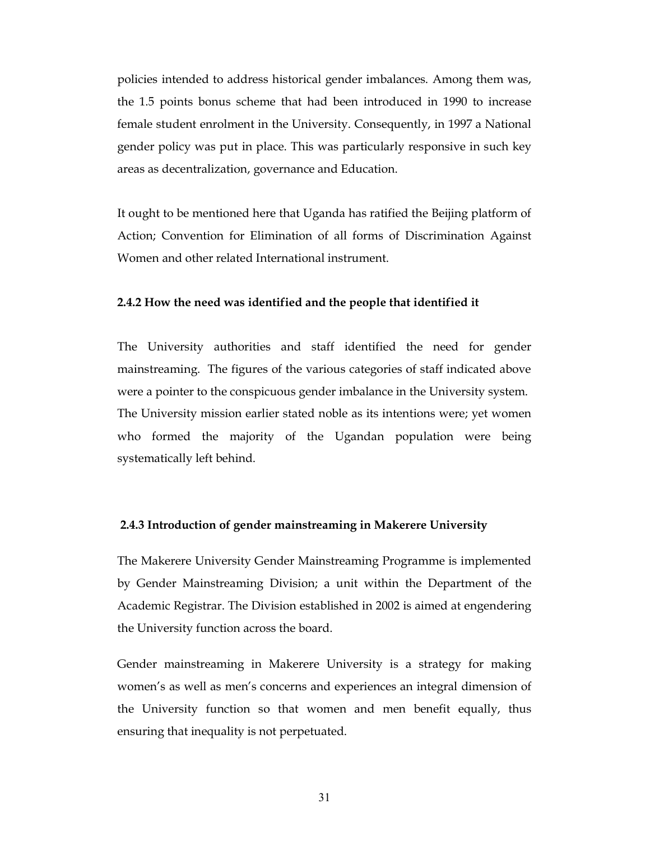policies intended to address historical gender imbalances. Among them was, the 1.5 points bonus scheme that had been introduced in 1990 to increase female student enrolment in the University. Consequently, in 1997 a National gender policy was put in place. This was particularly responsive in such key areas as decentralization, governance and Education.

It ought to be mentioned here that Uganda has ratified the Beijing platform of Action; Convention for Elimination of all forms of Discrimination Against Women and other related International instrument.

#### 2.4.2 How the need was identified and the people that identified it

The University authorities and staff identified the need for gender mainstreaming. The figures of the various categories of staff indicated above were a pointer to the conspicuous gender imbalance in the University system. The University mission earlier stated noble as its intentions were; yet women who formed the majority of the Ugandan population were being systematically left behind.

## 2.4.3 Introduction of gender mainstreaming in Makerere University

The Makerere University Gender Mainstreaming Programme is implemented by Gender Mainstreaming Division; a unit within the Department of the Academic Registrar. The Division established in 2002 is aimed at engendering the University function across the board.

Gender mainstreaming in Makerere University is a strategy for making women's as well as men's concerns and experiences an integral dimension of the University function so that women and men benefit equally, thus ensuring that inequality is not perpetuated.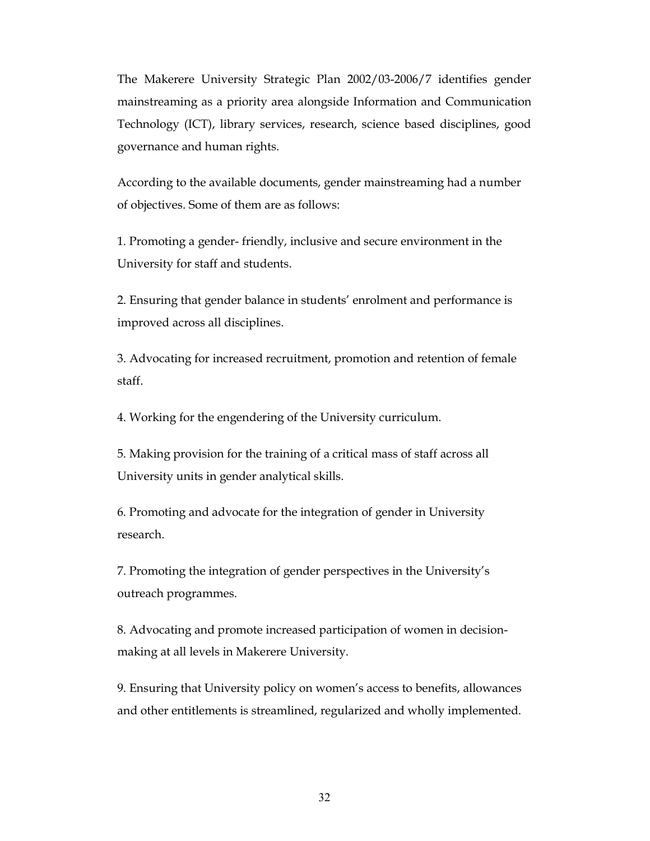The Makerere University Strategic Plan 2002/03-2006/7 identifies gender mainstreaming as a priority area alongside Information and Communication Technology (ICT), library services, research, science based disciplines, good governance and human rights.

According to the available documents, gender mainstreaming had a number of objectives. Some of them are as follows:

1. Promoting a gender- friendly, inclusive and secure environment in the University for staff and students.

2. Ensuring that gender balance in students' enrolment and performance is improved across all disciplines.

3. Advocating for increased recruitment, promotion and retention of female staff.

4. Working for the engendering of the University curriculum.

5. Making provision for the training of a critical mass of staff across all University units in gender analytical skills.

6. Promoting and advocate for the integration of gender in University research.

7. Promoting the integration of gender perspectives in the University's outreach programmes.

8. Advocating and promote increased participation of women in decisionmaking at all levels in Makerere University.

9. Ensuring that University policy on women's access to benefits, allowances and other entitlements is streamlined, regularized and wholly implemented.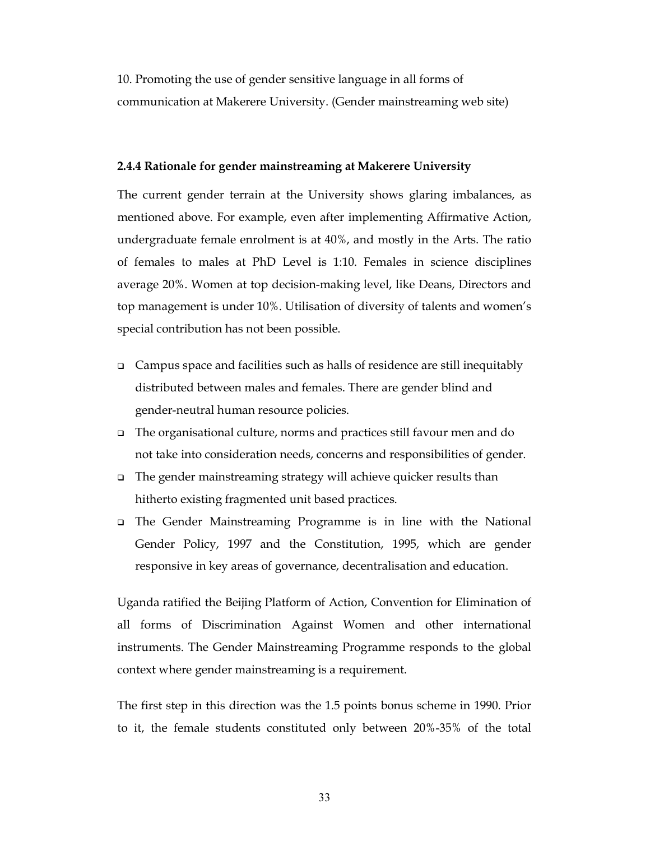10. Promoting the use of gender sensitive language in all forms of communication at Makerere University. (Gender mainstreaming web site)

#### 2.4.4 Rationale for gender mainstreaming at Makerere University

The current gender terrain at the University shows glaring imbalances, as mentioned above. For example, even after implementing Affirmative Action, undergraduate female enrolment is at 40%, and mostly in the Arts. The ratio of females to males at PhD Level is 1:10. Females in science disciplines average 20%. Women at top decision-making level, like Deans, Directors and top management is under 10%. Utilisation of diversity of talents and women's special contribution has not been possible.

- Campus space and facilities such as halls of residence are still inequitably distributed between males and females. There are gender blind and gender-neutral human resource policies.
- The organisational culture, norms and practices still favour men and do not take into consideration needs, concerns and responsibilities of gender.
- The gender mainstreaming strategy will achieve quicker results than hitherto existing fragmented unit based practices.
- The Gender Mainstreaming Programme is in line with the National Gender Policy, 1997 and the Constitution, 1995, which are gender responsive in key areas of governance, decentralisation and education.

Uganda ratified the Beijing Platform of Action, Convention for Elimination of all forms of Discrimination Against Women and other international instruments. The Gender Mainstreaming Programme responds to the global context where gender mainstreaming is a requirement.

The first step in this direction was the 1.5 points bonus scheme in 1990. Prior to it, the female students constituted only between 20%-35% of the total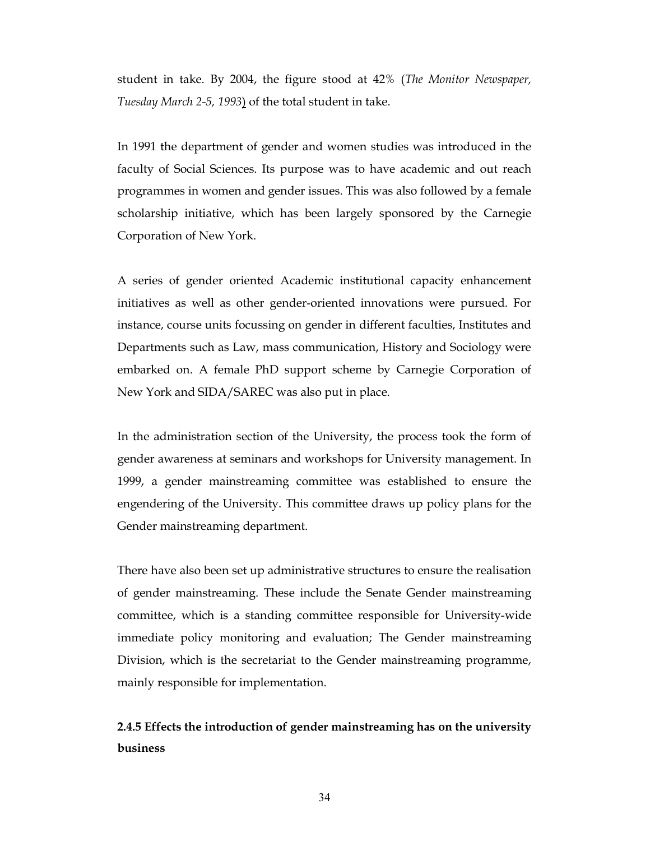student in take. By 2004, the figure stood at 42% (The Monitor Newspaper, Tuesday March 2-5, 1993) of the total student in take.

In 1991 the department of gender and women studies was introduced in the faculty of Social Sciences. Its purpose was to have academic and out reach programmes in women and gender issues. This was also followed by a female scholarship initiative, which has been largely sponsored by the Carnegie Corporation of New York.

A series of gender oriented Academic institutional capacity enhancement initiatives as well as other gender-oriented innovations were pursued. For instance, course units focussing on gender in different faculties, Institutes and Departments such as Law, mass communication, History and Sociology were embarked on. A female PhD support scheme by Carnegie Corporation of New York and SIDA/SAREC was also put in place.

In the administration section of the University, the process took the form of gender awareness at seminars and workshops for University management. In 1999, a gender mainstreaming committee was established to ensure the engendering of the University. This committee draws up policy plans for the Gender mainstreaming department.

There have also been set up administrative structures to ensure the realisation of gender mainstreaming. These include the Senate Gender mainstreaming committee, which is a standing committee responsible for University-wide immediate policy monitoring and evaluation; The Gender mainstreaming Division, which is the secretariat to the Gender mainstreaming programme, mainly responsible for implementation.

2.4.5 Effects the introduction of gender mainstreaming has on the university business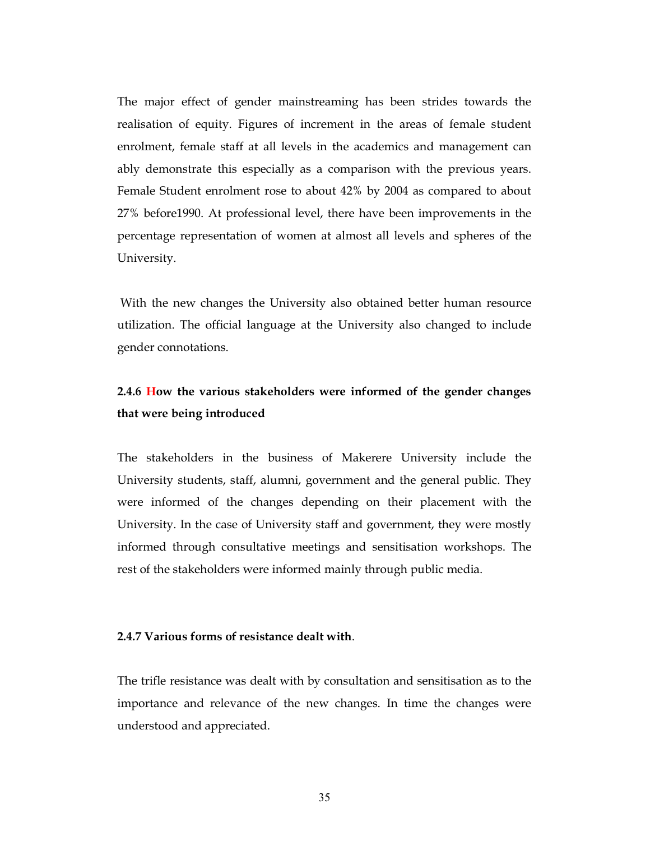The major effect of gender mainstreaming has been strides towards the realisation of equity. Figures of increment in the areas of female student enrolment, female staff at all levels in the academics and management can ably demonstrate this especially as a comparison with the previous years. Female Student enrolment rose to about 42% by 2004 as compared to about 27% before1990. At professional level, there have been improvements in the percentage representation of women at almost all levels and spheres of the University.

 With the new changes the University also obtained better human resource utilization. The official language at the University also changed to include gender connotations.

# 2.4.6 How the various stakeholders were informed of the gender changes that were being introduced

The stakeholders in the business of Makerere University include the University students, staff, alumni, government and the general public. They were informed of the changes depending on their placement with the University. In the case of University staff and government, they were mostly informed through consultative meetings and sensitisation workshops. The rest of the stakeholders were informed mainly through public media.

# 2.4.7 Various forms of resistance dealt with.

The trifle resistance was dealt with by consultation and sensitisation as to the importance and relevance of the new changes. In time the changes were understood and appreciated.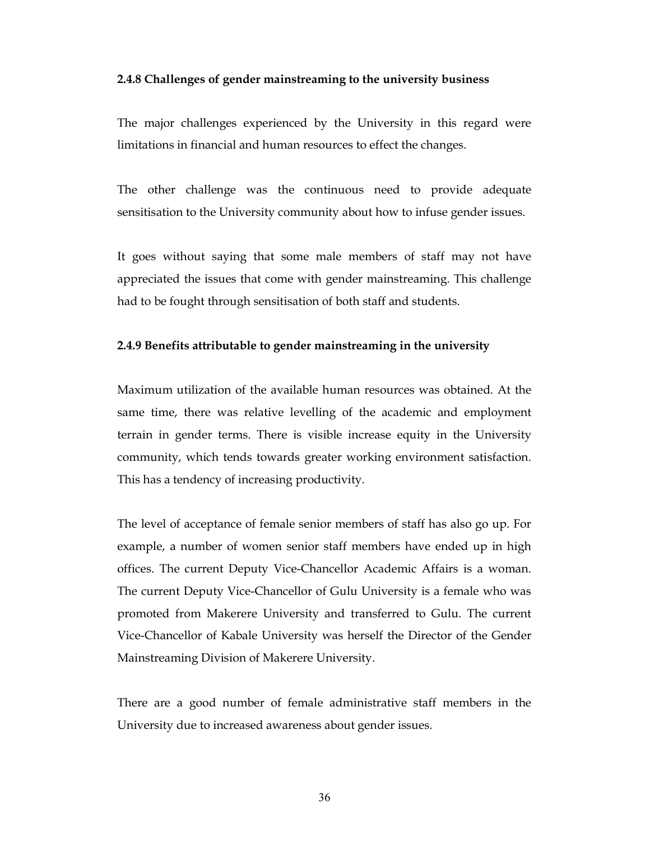## 2.4.8 Challenges of gender mainstreaming to the university business

The major challenges experienced by the University in this regard were limitations in financial and human resources to effect the changes.

The other challenge was the continuous need to provide adequate sensitisation to the University community about how to infuse gender issues.

It goes without saying that some male members of staff may not have appreciated the issues that come with gender mainstreaming. This challenge had to be fought through sensitisation of both staff and students.

#### 2.4.9 Benefits attributable to gender mainstreaming in the university

Maximum utilization of the available human resources was obtained. At the same time, there was relative levelling of the academic and employment terrain in gender terms. There is visible increase equity in the University community, which tends towards greater working environment satisfaction. This has a tendency of increasing productivity.

The level of acceptance of female senior members of staff has also go up. For example, a number of women senior staff members have ended up in high offices. The current Deputy Vice-Chancellor Academic Affairs is a woman. The current Deputy Vice-Chancellor of Gulu University is a female who was promoted from Makerere University and transferred to Gulu. The current Vice-Chancellor of Kabale University was herself the Director of the Gender Mainstreaming Division of Makerere University.

There are a good number of female administrative staff members in the University due to increased awareness about gender issues.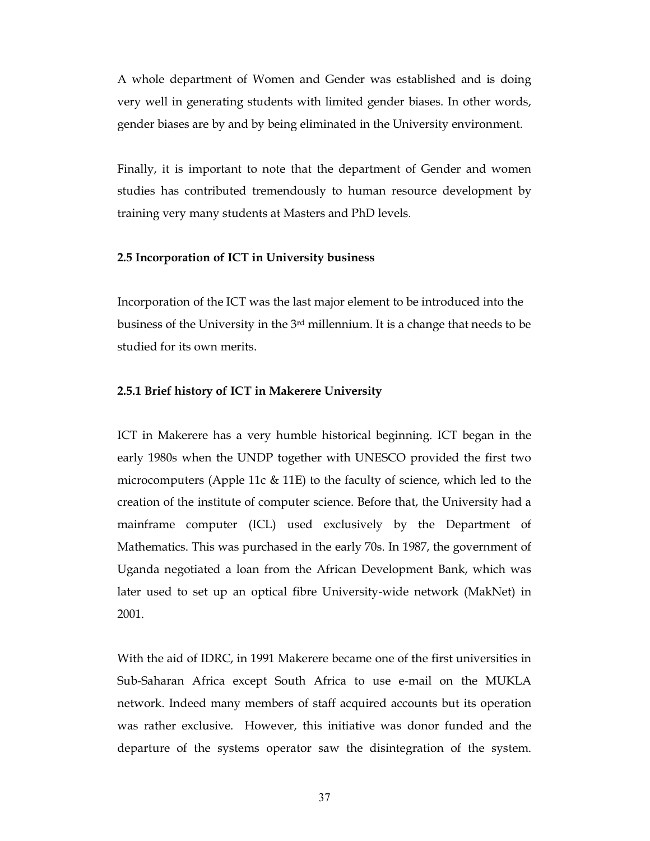A whole department of Women and Gender was established and is doing very well in generating students with limited gender biases. In other words, gender biases are by and by being eliminated in the University environment.

Finally, it is important to note that the department of Gender and women studies has contributed tremendously to human resource development by training very many students at Masters and PhD levels.

## 2.5 Incorporation of ICT in University business

Incorporation of the ICT was the last major element to be introduced into the business of the University in the  $3<sup>rd</sup>$  millennium. It is a change that needs to be studied for its own merits.

## 2.5.1 Brief history of ICT in Makerere University

ICT in Makerere has a very humble historical beginning. ICT began in the early 1980s when the UNDP together with UNESCO provided the first two microcomputers (Apple 11c & 11E) to the faculty of science, which led to the creation of the institute of computer science. Before that, the University had a mainframe computer (ICL) used exclusively by the Department of Mathematics. This was purchased in the early 70s. In 1987, the government of Uganda negotiated a loan from the African Development Bank, which was later used to set up an optical fibre University-wide network (MakNet) in 2001.

With the aid of IDRC, in 1991 Makerere became one of the first universities in Sub-Saharan Africa except South Africa to use e-mail on the MUKLA network. Indeed many members of staff acquired accounts but its operation was rather exclusive. However, this initiative was donor funded and the departure of the systems operator saw the disintegration of the system.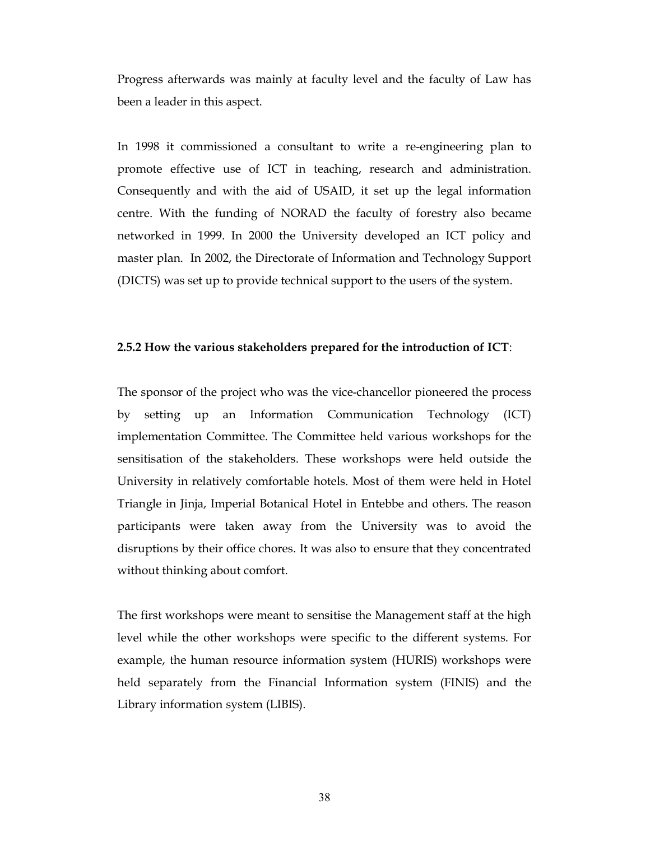Progress afterwards was mainly at faculty level and the faculty of Law has been a leader in this aspect.

In 1998 it commissioned a consultant to write a re-engineering plan to promote effective use of ICT in teaching, research and administration. Consequently and with the aid of USAID, it set up the legal information centre. With the funding of NORAD the faculty of forestry also became networked in 1999. In 2000 the University developed an ICT policy and master plan. In 2002, the Directorate of Information and Technology Support (DICTS) was set up to provide technical support to the users of the system.

#### 2.5.2 How the various stakeholders prepared for the introduction of ICT:

The sponsor of the project who was the vice-chancellor pioneered the process by setting up an Information Communication Technology (ICT) implementation Committee. The Committee held various workshops for the sensitisation of the stakeholders. These workshops were held outside the University in relatively comfortable hotels. Most of them were held in Hotel Triangle in Jinja, Imperial Botanical Hotel in Entebbe and others. The reason participants were taken away from the University was to avoid the disruptions by their office chores. It was also to ensure that they concentrated without thinking about comfort.

The first workshops were meant to sensitise the Management staff at the high level while the other workshops were specific to the different systems. For example, the human resource information system (HURIS) workshops were held separately from the Financial Information system (FINIS) and the Library information system (LIBIS).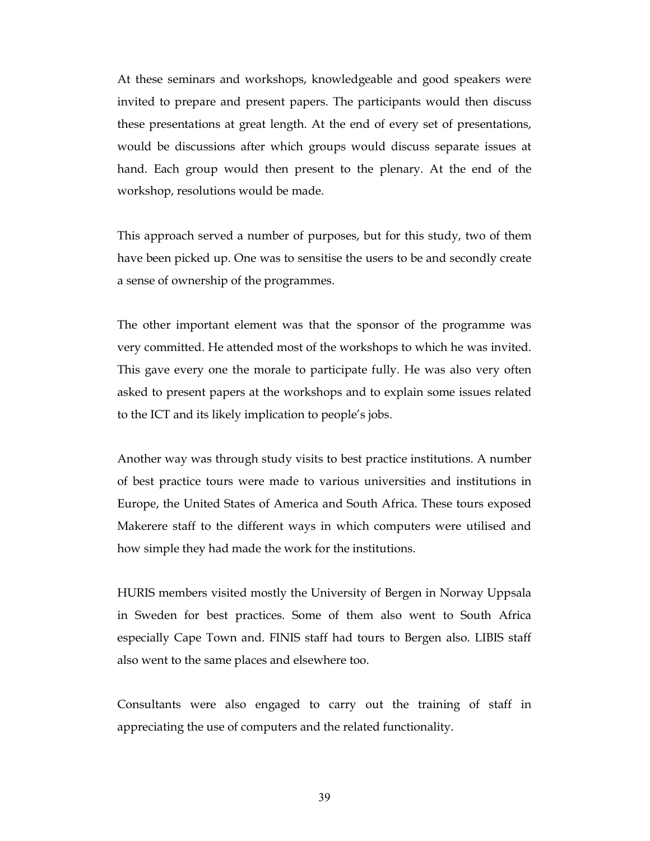At these seminars and workshops, knowledgeable and good speakers were invited to prepare and present papers. The participants would then discuss these presentations at great length. At the end of every set of presentations, would be discussions after which groups would discuss separate issues at hand. Each group would then present to the plenary. At the end of the workshop, resolutions would be made.

This approach served a number of purposes, but for this study, two of them have been picked up. One was to sensitise the users to be and secondly create a sense of ownership of the programmes.

The other important element was that the sponsor of the programme was very committed. He attended most of the workshops to which he was invited. This gave every one the morale to participate fully. He was also very often asked to present papers at the workshops and to explain some issues related to the ICT and its likely implication to people's jobs.

Another way was through study visits to best practice institutions. A number of best practice tours were made to various universities and institutions in Europe, the United States of America and South Africa. These tours exposed Makerere staff to the different ways in which computers were utilised and how simple they had made the work for the institutions.

HURIS members visited mostly the University of Bergen in Norway Uppsala in Sweden for best practices. Some of them also went to South Africa especially Cape Town and. FINIS staff had tours to Bergen also. LIBIS staff also went to the same places and elsewhere too.

Consultants were also engaged to carry out the training of staff in appreciating the use of computers and the related functionality.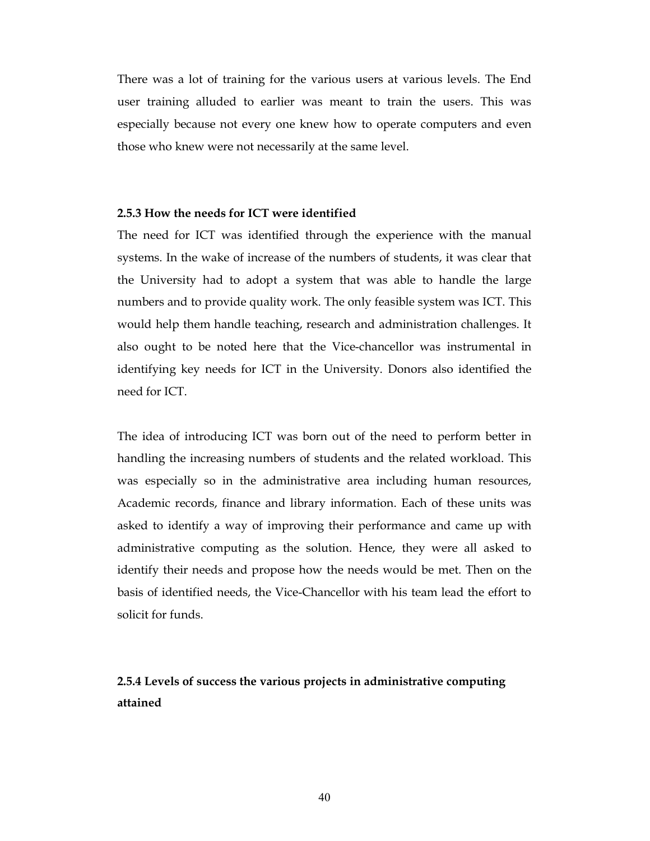There was a lot of training for the various users at various levels. The End user training alluded to earlier was meant to train the users. This was especially because not every one knew how to operate computers and even those who knew were not necessarily at the same level.

# 2.5.3 How the needs for ICT were identified

The need for ICT was identified through the experience with the manual systems. In the wake of increase of the numbers of students, it was clear that the University had to adopt a system that was able to handle the large numbers and to provide quality work. The only feasible system was ICT. This would help them handle teaching, research and administration challenges. It also ought to be noted here that the Vice-chancellor was instrumental in identifying key needs for ICT in the University. Donors also identified the need for ICT.

The idea of introducing ICT was born out of the need to perform better in handling the increasing numbers of students and the related workload. This was especially so in the administrative area including human resources, Academic records, finance and library information. Each of these units was asked to identify a way of improving their performance and came up with administrative computing as the solution. Hence, they were all asked to identify their needs and propose how the needs would be met. Then on the basis of identified needs, the Vice-Chancellor with his team lead the effort to solicit for funds.

2.5.4 Levels of success the various projects in administrative computing attained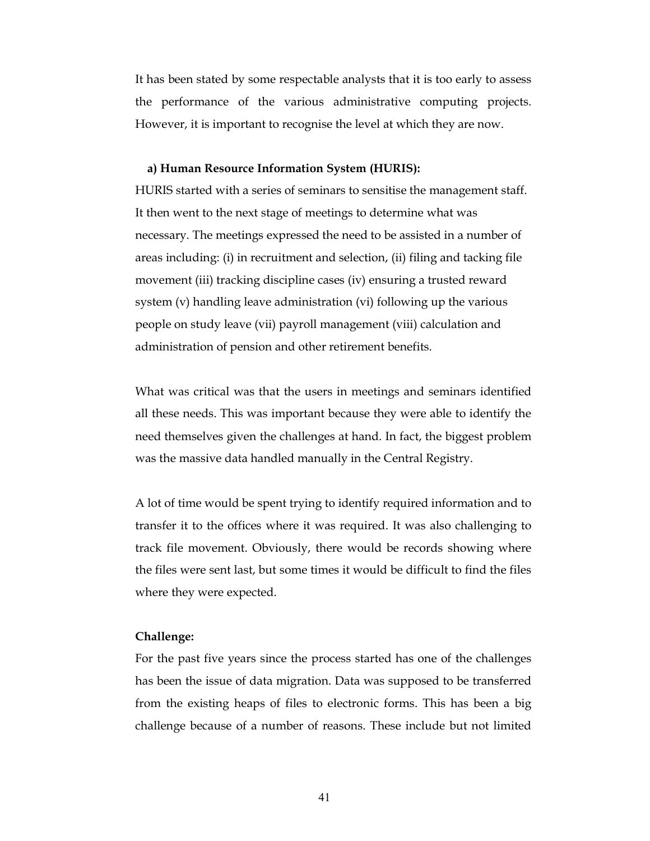It has been stated by some respectable analysts that it is too early to assess the performance of the various administrative computing projects. However, it is important to recognise the level at which they are now.

# a) Human Resource Information System (HURIS):

HURIS started with a series of seminars to sensitise the management staff. It then went to the next stage of meetings to determine what was necessary. The meetings expressed the need to be assisted in a number of areas including: (i) in recruitment and selection, (ii) filing and tacking file movement (iii) tracking discipline cases (iv) ensuring a trusted reward system (v) handling leave administration (vi) following up the various people on study leave (vii) payroll management (viii) calculation and administration of pension and other retirement benefits.

What was critical was that the users in meetings and seminars identified all these needs. This was important because they were able to identify the need themselves given the challenges at hand. In fact, the biggest problem was the massive data handled manually in the Central Registry.

A lot of time would be spent trying to identify required information and to transfer it to the offices where it was required. It was also challenging to track file movement. Obviously, there would be records showing where the files were sent last, but some times it would be difficult to find the files where they were expected.

# Challenge:

For the past five years since the process started has one of the challenges has been the issue of data migration. Data was supposed to be transferred from the existing heaps of files to electronic forms. This has been a big challenge because of a number of reasons. These include but not limited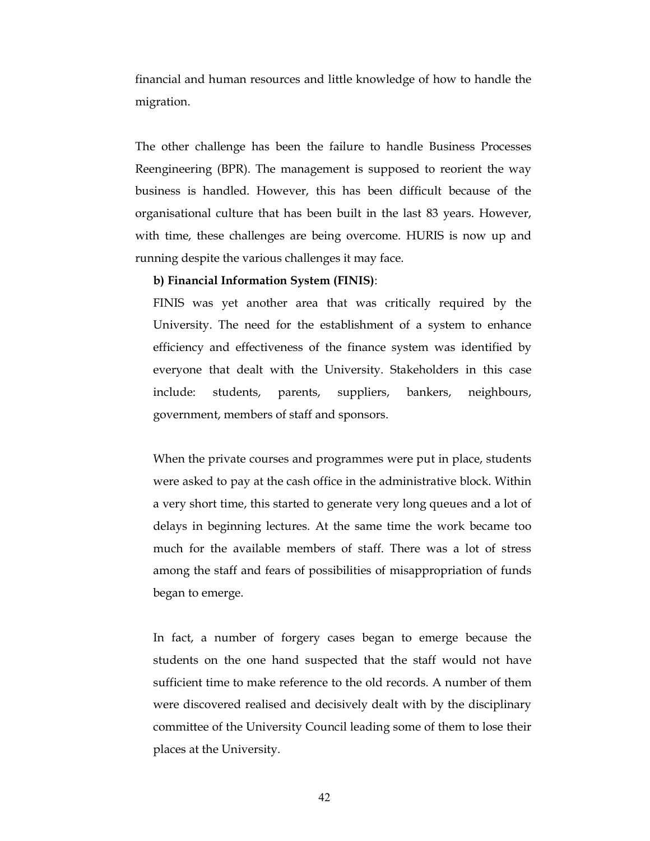financial and human resources and little knowledge of how to handle the migration.

The other challenge has been the failure to handle Business Processes Reengineering (BPR). The management is supposed to reorient the way business is handled. However, this has been difficult because of the organisational culture that has been built in the last 83 years. However, with time, these challenges are being overcome. HURIS is now up and running despite the various challenges it may face.

## b) Financial Information System (FINIS):

FINIS was yet another area that was critically required by the University. The need for the establishment of a system to enhance efficiency and effectiveness of the finance system was identified by everyone that dealt with the University. Stakeholders in this case include: students, parents, suppliers, bankers, neighbours, government, members of staff and sponsors.

When the private courses and programmes were put in place, students were asked to pay at the cash office in the administrative block. Within a very short time, this started to generate very long queues and a lot of delays in beginning lectures. At the same time the work became too much for the available members of staff. There was a lot of stress among the staff and fears of possibilities of misappropriation of funds began to emerge.

In fact, a number of forgery cases began to emerge because the students on the one hand suspected that the staff would not have sufficient time to make reference to the old records. A number of them were discovered realised and decisively dealt with by the disciplinary committee of the University Council leading some of them to lose their places at the University.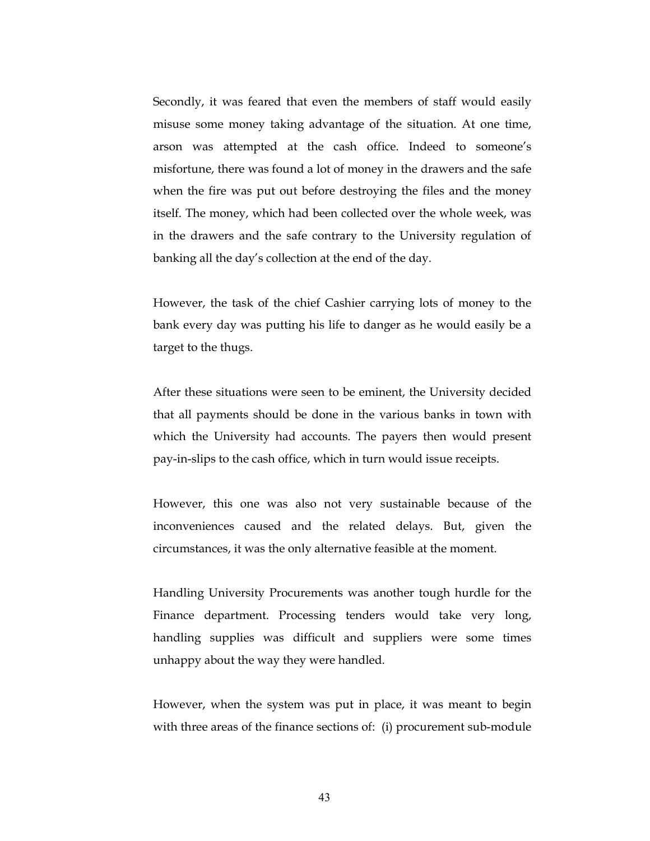Secondly, it was feared that even the members of staff would easily misuse some money taking advantage of the situation. At one time, arson was attempted at the cash office. Indeed to someone's misfortune, there was found a lot of money in the drawers and the safe when the fire was put out before destroying the files and the money itself. The money, which had been collected over the whole week, was in the drawers and the safe contrary to the University regulation of banking all the day's collection at the end of the day.

However, the task of the chief Cashier carrying lots of money to the bank every day was putting his life to danger as he would easily be a target to the thugs.

After these situations were seen to be eminent, the University decided that all payments should be done in the various banks in town with which the University had accounts. The payers then would present pay-in-slips to the cash office, which in turn would issue receipts.

However, this one was also not very sustainable because of the inconveniences caused and the related delays. But, given the circumstances, it was the only alternative feasible at the moment.

Handling University Procurements was another tough hurdle for the Finance department. Processing tenders would take very long, handling supplies was difficult and suppliers were some times unhappy about the way they were handled.

However, when the system was put in place, it was meant to begin with three areas of the finance sections of: (i) procurement sub-module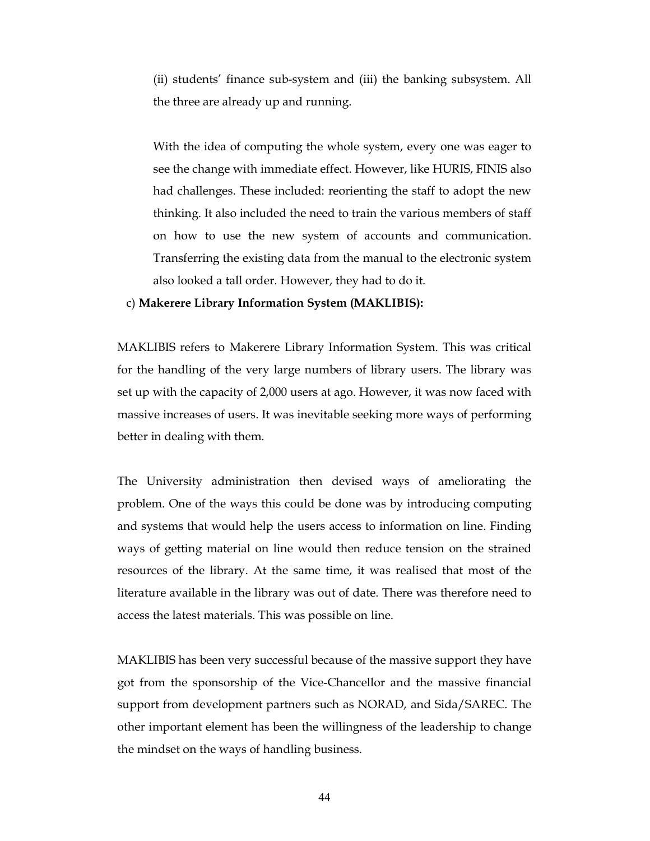(ii) students' finance sub-system and (iii) the banking subsystem. All the three are already up and running.

With the idea of computing the whole system, every one was eager to see the change with immediate effect. However, like HURIS, FINIS also had challenges. These included: reorienting the staff to adopt the new thinking. It also included the need to train the various members of staff on how to use the new system of accounts and communication. Transferring the existing data from the manual to the electronic system also looked a tall order. However, they had to do it.

### c) Makerere Library Information System (MAKLIBIS):

MAKLIBIS refers to Makerere Library Information System. This was critical for the handling of the very large numbers of library users. The library was set up with the capacity of 2,000 users at ago. However, it was now faced with massive increases of users. It was inevitable seeking more ways of performing better in dealing with them.

The University administration then devised ways of ameliorating the problem. One of the ways this could be done was by introducing computing and systems that would help the users access to information on line. Finding ways of getting material on line would then reduce tension on the strained resources of the library. At the same time, it was realised that most of the literature available in the library was out of date. There was therefore need to access the latest materials. This was possible on line.

MAKLIBIS has been very successful because of the massive support they have got from the sponsorship of the Vice-Chancellor and the massive financial support from development partners such as NORAD, and Sida/SAREC. The other important element has been the willingness of the leadership to change the mindset on the ways of handling business.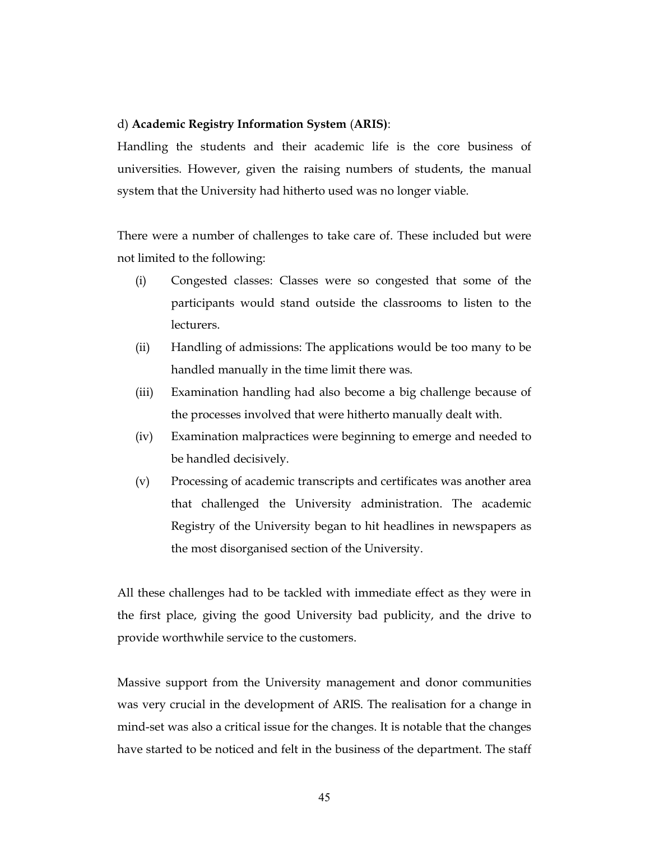#### d) Academic Registry Information System (ARIS):

Handling the students and their academic life is the core business of universities. However, given the raising numbers of students, the manual system that the University had hitherto used was no longer viable.

There were a number of challenges to take care of. These included but were not limited to the following:

- (i) Congested classes: Classes were so congested that some of the participants would stand outside the classrooms to listen to the lecturers.
- (ii) Handling of admissions: The applications would be too many to be handled manually in the time limit there was.
- (iii) Examination handling had also become a big challenge because of the processes involved that were hitherto manually dealt with.
- (iv) Examination malpractices were beginning to emerge and needed to be handled decisively.
- (v) Processing of academic transcripts and certificates was another area that challenged the University administration. The academic Registry of the University began to hit headlines in newspapers as the most disorganised section of the University.

All these challenges had to be tackled with immediate effect as they were in the first place, giving the good University bad publicity, and the drive to provide worthwhile service to the customers.

Massive support from the University management and donor communities was very crucial in the development of ARIS. The realisation for a change in mind-set was also a critical issue for the changes. It is notable that the changes have started to be noticed and felt in the business of the department. The staff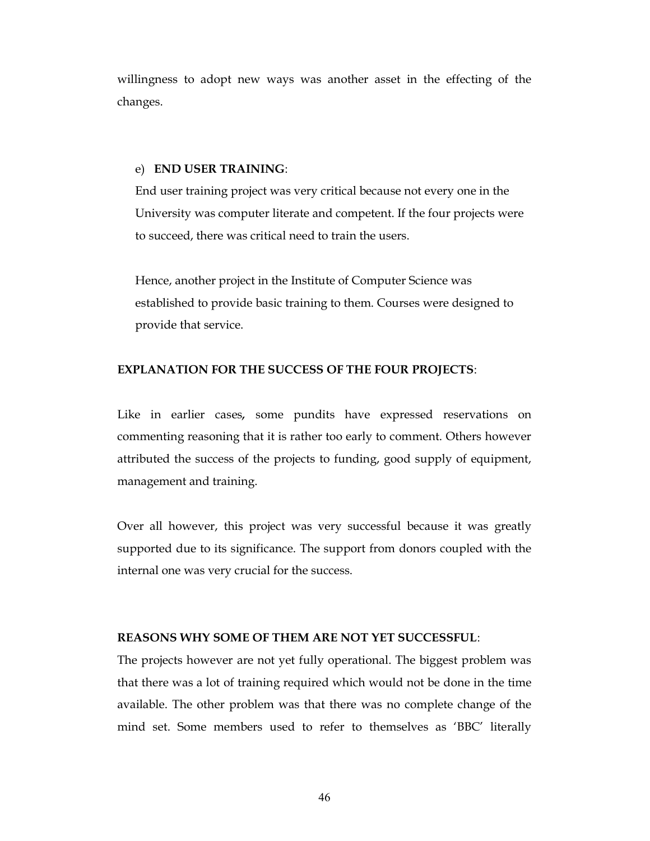willingness to adopt new ways was another asset in the effecting of the changes.

#### e) END USER TRAINING:

End user training project was very critical because not every one in the University was computer literate and competent. If the four projects were to succeed, there was critical need to train the users.

Hence, another project in the Institute of Computer Science was established to provide basic training to them. Courses were designed to provide that service.

#### EXPLANATION FOR THE SUCCESS OF THE FOUR PROJECTS:

Like in earlier cases, some pundits have expressed reservations on commenting reasoning that it is rather too early to comment. Others however attributed the success of the projects to funding, good supply of equipment, management and training.

Over all however, this project was very successful because it was greatly supported due to its significance. The support from donors coupled with the internal one was very crucial for the success.

# REASONS WHY SOME OF THEM ARE NOT YET SUCCESSFUL:

The projects however are not yet fully operational. The biggest problem was that there was a lot of training required which would not be done in the time available. The other problem was that there was no complete change of the mind set. Some members used to refer to themselves as 'BBC' literally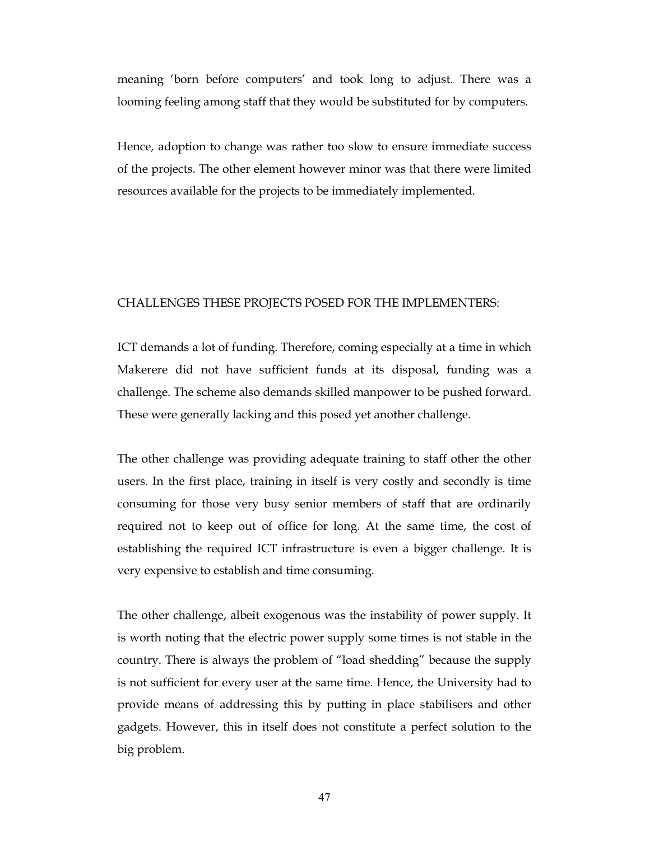meaning 'born before computers' and took long to adjust. There was a looming feeling among staff that they would be substituted for by computers.

Hence, adoption to change was rather too slow to ensure immediate success of the projects. The other element however minor was that there were limited resources available for the projects to be immediately implemented.

#### CHALLENGES THESE PROJECTS POSED FOR THE IMPLEMENTERS:

ICT demands a lot of funding. Therefore, coming especially at a time in which Makerere did not have sufficient funds at its disposal, funding was a challenge. The scheme also demands skilled manpower to be pushed forward. These were generally lacking and this posed yet another challenge.

The other challenge was providing adequate training to staff other the other users. In the first place, training in itself is very costly and secondly is time consuming for those very busy senior members of staff that are ordinarily required not to keep out of office for long. At the same time, the cost of establishing the required ICT infrastructure is even a bigger challenge. It is very expensive to establish and time consuming.

The other challenge, albeit exogenous was the instability of power supply. It is worth noting that the electric power supply some times is not stable in the country. There is always the problem of "load shedding" because the supply is not sufficient for every user at the same time. Hence, the University had to provide means of addressing this by putting in place stabilisers and other gadgets. However, this in itself does not constitute a perfect solution to the big problem.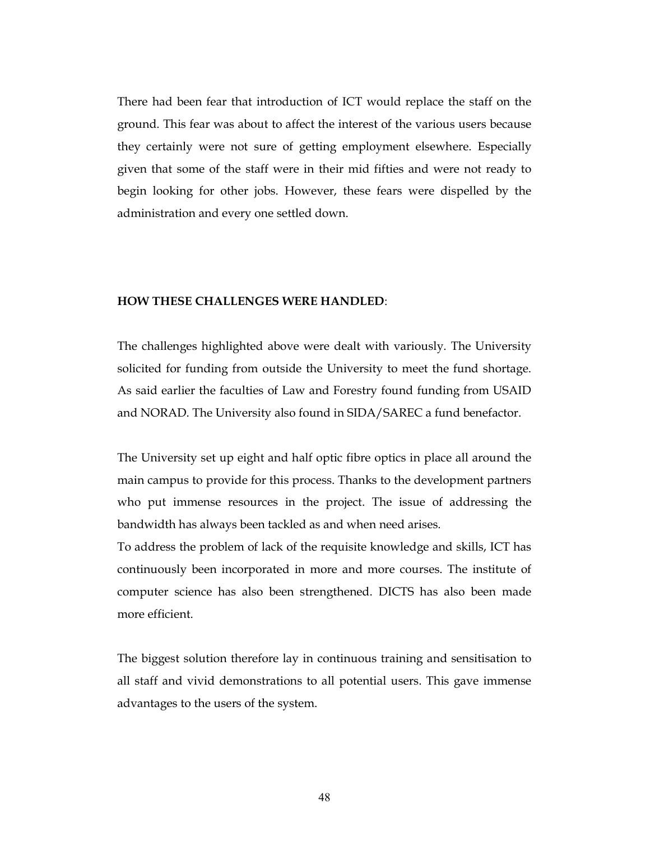There had been fear that introduction of ICT would replace the staff on the ground. This fear was about to affect the interest of the various users because they certainly were not sure of getting employment elsewhere. Especially given that some of the staff were in their mid fifties and were not ready to begin looking for other jobs. However, these fears were dispelled by the administration and every one settled down.

#### HOW THESE CHALLENGES WERE HANDLED:

The challenges highlighted above were dealt with variously. The University solicited for funding from outside the University to meet the fund shortage. As said earlier the faculties of Law and Forestry found funding from USAID and NORAD. The University also found in SIDA/SAREC a fund benefactor.

The University set up eight and half optic fibre optics in place all around the main campus to provide for this process. Thanks to the development partners who put immense resources in the project. The issue of addressing the bandwidth has always been tackled as and when need arises.

To address the problem of lack of the requisite knowledge and skills, ICT has continuously been incorporated in more and more courses. The institute of computer science has also been strengthened. DICTS has also been made more efficient.

The biggest solution therefore lay in continuous training and sensitisation to all staff and vivid demonstrations to all potential users. This gave immense advantages to the users of the system.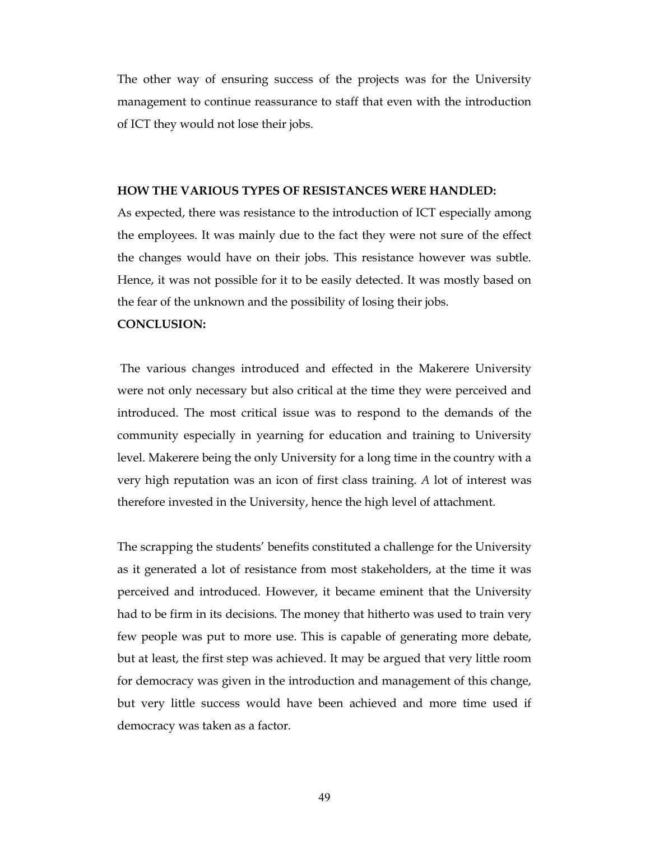The other way of ensuring success of the projects was for the University management to continue reassurance to staff that even with the introduction of ICT they would not lose their jobs.

#### HOW THE VARIOUS TYPES OF RESISTANCES WERE HANDLED:

As expected, there was resistance to the introduction of ICT especially among the employees. It was mainly due to the fact they were not sure of the effect the changes would have on their jobs. This resistance however was subtle. Hence, it was not possible for it to be easily detected. It was mostly based on the fear of the unknown and the possibility of losing their jobs.

# CONCLUSION:

 The various changes introduced and effected in the Makerere University were not only necessary but also critical at the time they were perceived and introduced. The most critical issue was to respond to the demands of the community especially in yearning for education and training to University level. Makerere being the only University for a long time in the country with a very high reputation was an icon of first class training. A lot of interest was therefore invested in the University, hence the high level of attachment.

The scrapping the students' benefits constituted a challenge for the University as it generated a lot of resistance from most stakeholders, at the time it was perceived and introduced. However, it became eminent that the University had to be firm in its decisions. The money that hitherto was used to train very few people was put to more use. This is capable of generating more debate, but at least, the first step was achieved. It may be argued that very little room for democracy was given in the introduction and management of this change, but very little success would have been achieved and more time used if democracy was taken as a factor.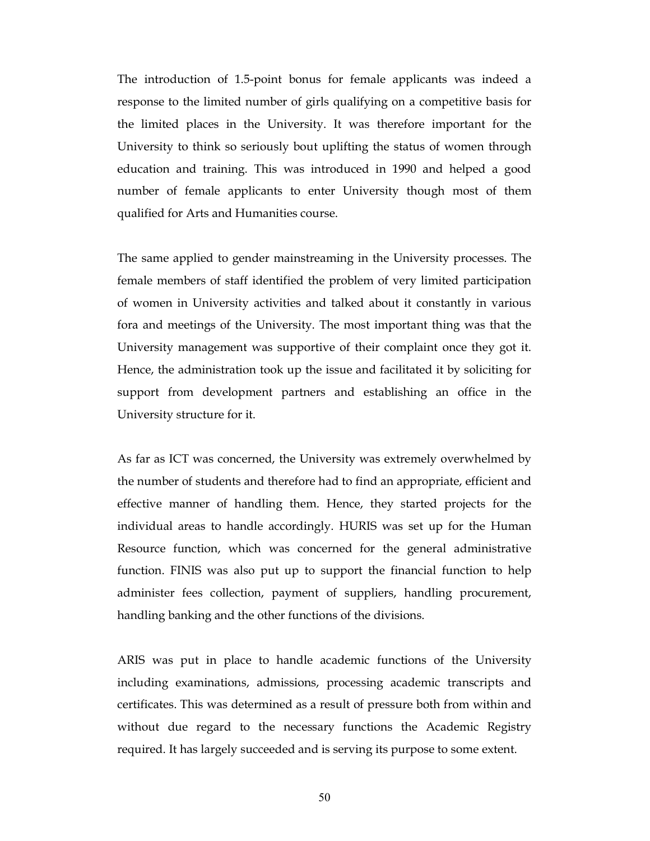The introduction of 1.5-point bonus for female applicants was indeed a response to the limited number of girls qualifying on a competitive basis for the limited places in the University. It was therefore important for the University to think so seriously bout uplifting the status of women through education and training. This was introduced in 1990 and helped a good number of female applicants to enter University though most of them qualified for Arts and Humanities course.

The same applied to gender mainstreaming in the University processes. The female members of staff identified the problem of very limited participation of women in University activities and talked about it constantly in various fora and meetings of the University. The most important thing was that the University management was supportive of their complaint once they got it. Hence, the administration took up the issue and facilitated it by soliciting for support from development partners and establishing an office in the University structure for it.

As far as ICT was concerned, the University was extremely overwhelmed by the number of students and therefore had to find an appropriate, efficient and effective manner of handling them. Hence, they started projects for the individual areas to handle accordingly. HURIS was set up for the Human Resource function, which was concerned for the general administrative function. FINIS was also put up to support the financial function to help administer fees collection, payment of suppliers, handling procurement, handling banking and the other functions of the divisions.

ARIS was put in place to handle academic functions of the University including examinations, admissions, processing academic transcripts and certificates. This was determined as a result of pressure both from within and without due regard to the necessary functions the Academic Registry required. It has largely succeeded and is serving its purpose to some extent.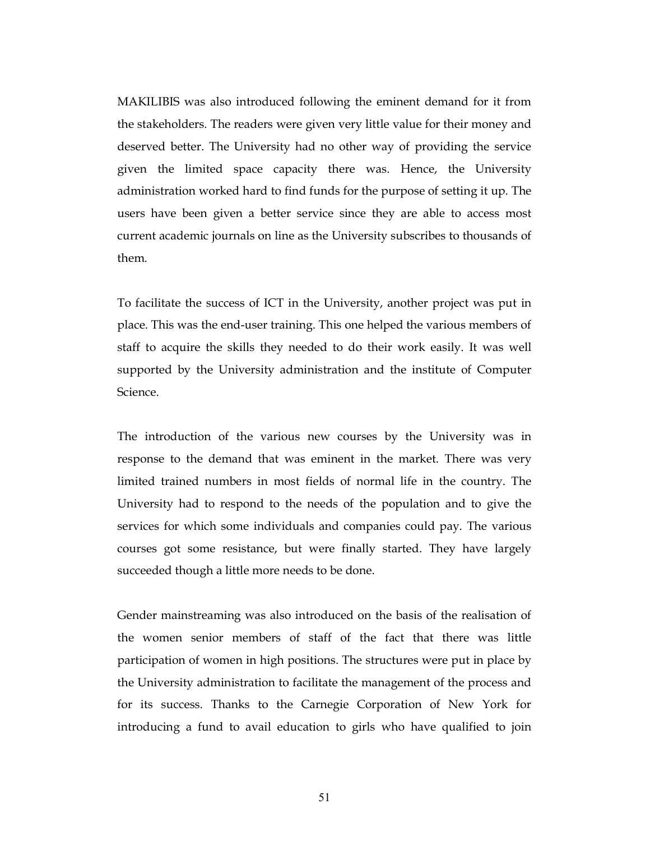MAKILIBIS was also introduced following the eminent demand for it from the stakeholders. The readers were given very little value for their money and deserved better. The University had no other way of providing the service given the limited space capacity there was. Hence, the University administration worked hard to find funds for the purpose of setting it up. The users have been given a better service since they are able to access most current academic journals on line as the University subscribes to thousands of them.

To facilitate the success of ICT in the University, another project was put in place. This was the end-user training. This one helped the various members of staff to acquire the skills they needed to do their work easily. It was well supported by the University administration and the institute of Computer Science.

The introduction of the various new courses by the University was in response to the demand that was eminent in the market. There was very limited trained numbers in most fields of normal life in the country. The University had to respond to the needs of the population and to give the services for which some individuals and companies could pay. The various courses got some resistance, but were finally started. They have largely succeeded though a little more needs to be done.

Gender mainstreaming was also introduced on the basis of the realisation of the women senior members of staff of the fact that there was little participation of women in high positions. The structures were put in place by the University administration to facilitate the management of the process and for its success. Thanks to the Carnegie Corporation of New York for introducing a fund to avail education to girls who have qualified to join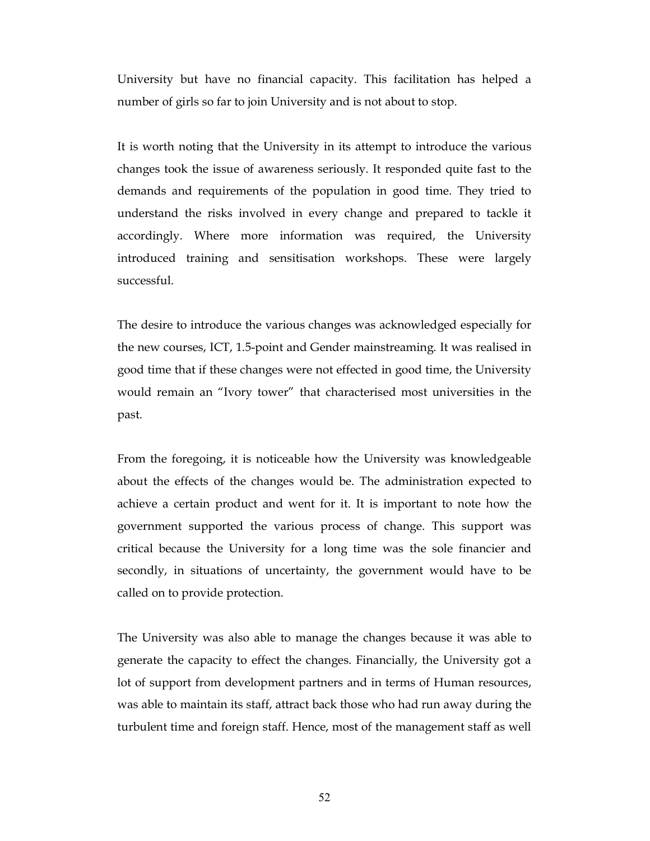University but have no financial capacity. This facilitation has helped a number of girls so far to join University and is not about to stop.

It is worth noting that the University in its attempt to introduce the various changes took the issue of awareness seriously. It responded quite fast to the demands and requirements of the population in good time. They tried to understand the risks involved in every change and prepared to tackle it accordingly. Where more information was required, the University introduced training and sensitisation workshops. These were largely successful.

The desire to introduce the various changes was acknowledged especially for the new courses, ICT, 1.5-point and Gender mainstreaming. It was realised in good time that if these changes were not effected in good time, the University would remain an "Ivory tower" that characterised most universities in the past.

From the foregoing, it is noticeable how the University was knowledgeable about the effects of the changes would be. The administration expected to achieve a certain product and went for it. It is important to note how the government supported the various process of change. This support was critical because the University for a long time was the sole financier and secondly, in situations of uncertainty, the government would have to be called on to provide protection.

The University was also able to manage the changes because it was able to generate the capacity to effect the changes. Financially, the University got a lot of support from development partners and in terms of Human resources, was able to maintain its staff, attract back those who had run away during the turbulent time and foreign staff. Hence, most of the management staff as well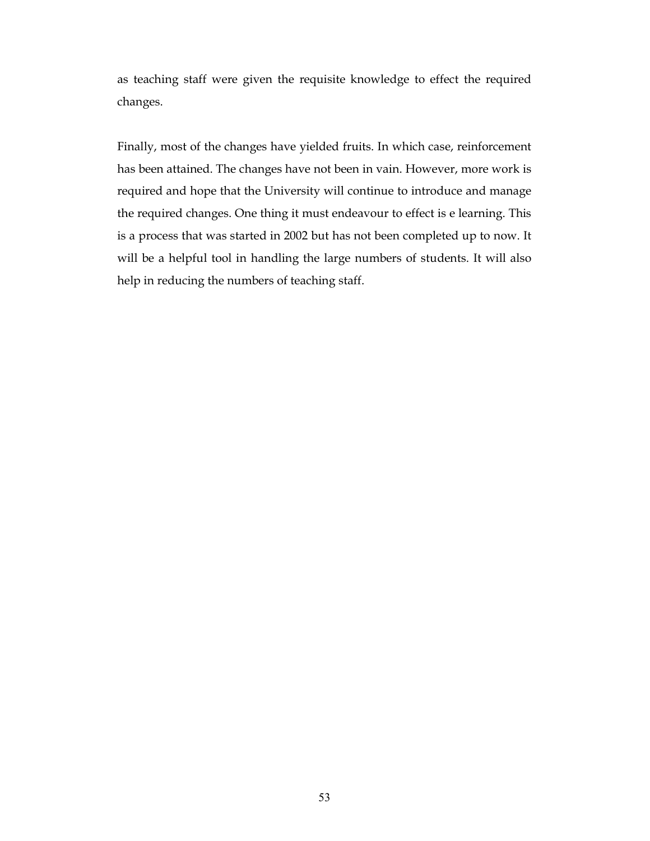as teaching staff were given the requisite knowledge to effect the required changes.

Finally, most of the changes have yielded fruits. In which case, reinforcement has been attained. The changes have not been in vain. However, more work is required and hope that the University will continue to introduce and manage the required changes. One thing it must endeavour to effect is e learning. This is a process that was started in 2002 but has not been completed up to now. It will be a helpful tool in handling the large numbers of students. It will also help in reducing the numbers of teaching staff.